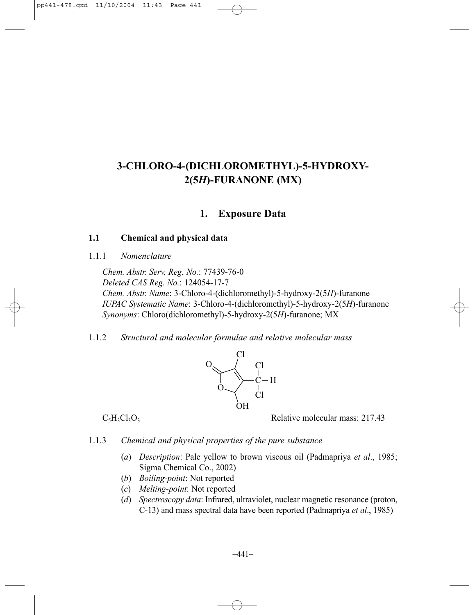# **3-CHLORO-4-(DICHLOROMETHYL)-5-HYDROXY-2(5***H***)-FURANONE (MX)**

# **1. Exposure Data**

## **1.1 Chemical and physical data**

1.1.1 *Nomenclature*

*Chem. Abstr. Serv. Reg. No.*: 77439-76-0 *Deleted CAS Reg. No.*: 124054-17-7 *Chem. Abstr. Name*: 3-Chloro-4-(dichloromethyl)-5-hydroxy-2(5*H*)-furanone *IUPAC Systematic Name*: 3-Chloro-4-(dichloromethyl)-5-hydroxy-2(5*H*)-furanone *Synonyms*: Chloro(dichloromethyl)-5-hydroxy-2(5*H*)-furanone; MX

1.1.2 *Structural and molecular formulae and relative molecular mass*



 $C_5H_3Cl_3O_3$  Relative molecular mass: 217.43

- 1.1.3 *Chemical and physical properties of the pure substance*
	- (*a*) *Description*: Pale yellow to brown viscous oil (Padmapriya *et al*., 1985; Sigma Chemical Co., 2002)
	- (*b*) *Boiling-point*: Not reported
	- (*c*) *Melting-point*: Not reported
	- (*d*) *Spectroscopy data*: Infrared, ultraviolet, nuclear magnetic resonance (proton, C-13) and mass spectral data have been reported (Padmapriya *et al*., 1985)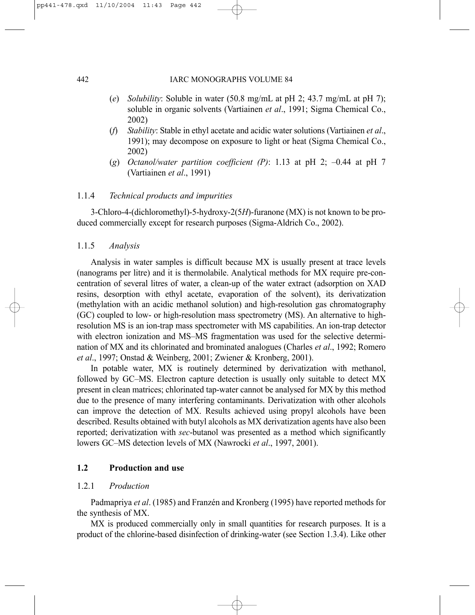- (*e*) *Solubility*: Soluble in water (50.8 mg/mL at pH 2; 43.7 mg/mL at pH 7); soluble in organic solvents (Vartiainen *et al*., 1991; Sigma Chemical Co., 2002)
- (*f*) *Stability*: Stable in ethyl acetate and acidic water solutions (Vartiainen *et al*., 1991); may decompose on exposure to light or heat (Sigma Chemical Co., 2002)
- (*g*) *Octanol/water partition coefficient (P)*: 1.13 at pH 2; –0.44 at pH 7 (Vartiainen *et al*., 1991)

### 1.1.4 *Technical products and impurities*

3-Chloro-4-(dichloromethyl)-5-hydroxy-2(5*H*)-furanone (MX) is not known to be produced commercially except for research purposes (Sigma-Aldrich Co., 2002).

### 1.1.5 *Analysis*

Analysis in water samples is difficult because MX is usually present at trace levels (nanograms per litre) and it is thermolabile. Analytical methods for MX require pre-concentration of several litres of water, a clean-up of the water extract (adsorption on XAD resins, desorption with ethyl acetate, evaporation of the solvent), its derivatization (methylation with an acidic methanol solution) and high-resolution gas chromatography (GC) coupled to low- or high-resolution mass spectrometry (MS). An alternative to highresolution MS is an ion-trap mass spectrometer with MS capabilities. An ion-trap detector with electron ionization and MS–MS fragmentation was used for the selective determination of MX and its chlorinated and brominated analogues (Charles *et al*., 1992; Romero *et al*., 1997; Onstad & Weinberg, 2001; Zwiener & Kronberg, 2001).

In potable water, MX is routinely determined by derivatization with methanol, followed by GC–MS. Electron capture detection is usually only suitable to detect MX present in clean matrices; chlorinated tap-water cannot be analysed for MX by this method due to the presence of many interfering contaminants. Derivatization with other alcohols can improve the detection of MX. Results achieved using propyl alcohols have been described. Results obtained with butyl alcohols as MX derivatization agents have also been reported; derivatization with *sec*-butanol was presented as a method which significantly lowers GC–MS detection levels of MX (Nawrocki *et al*., 1997, 2001).

# **1.2 Production and use**

### 1.2.1 *Production*

Padmapriya *et al*. (1985) and Franzén and Kronberg (1995) have reported methods for the synthesis of MX.

MX is produced commercially only in small quantities for research purposes. It is a product of the chlorine-based disinfection of drinking-water (see Section 1.3.4). Like other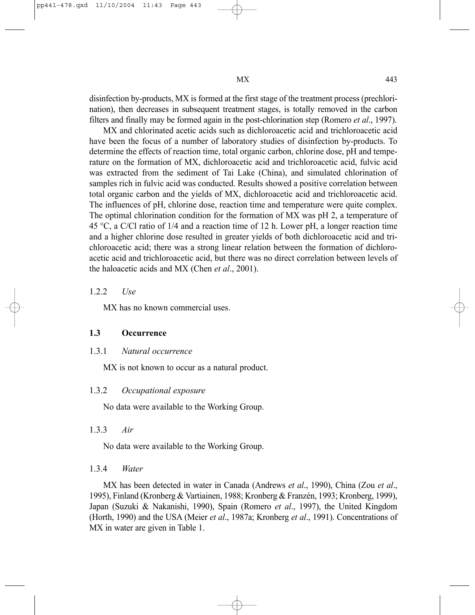disinfection by-products, MX is formed at the first stage of the treatment process (prechlorination), then decreases in subsequent treatment stages, is totally removed in the carbon filters and finally may be formed again in the post-chlorination step (Romero *et al*., 1997).

MX and chlorinated acetic acids such as dichloroacetic acid and trichloroacetic acid have been the focus of a number of laboratory studies of disinfection by-products. To determine the effects of reaction time, total organic carbon, chlorine dose, pH and temperature on the formation of MX, dichloroacetic acid and trichloroacetic acid, fulvic acid was extracted from the sediment of Tai Lake (China), and simulated chlorination of samples rich in fulvic acid was conducted. Results showed a positive correlation between total organic carbon and the yields of MX, dichloroacetic acid and trichloroacetic acid. The influences of pH, chlorine dose, reaction time and temperature were quite complex. The optimal chlorination condition for the formation of MX was pH 2, a temperature of 45 °C, a C/Cl ratio of 1/4 and a reaction time of 12 h. Lower pH, a longer reaction time and a higher chlorine dose resulted in greater yields of both dichloroacetic acid and trichloroacetic acid; there was a strong linear relation between the formation of dichloroacetic acid and trichloroacetic acid, but there was no direct correlation between levels of the haloacetic acids and MX (Chen *et al*., 2001).

### 1.2.2 *Use*

MX has no known commercial uses.

### **1.3 Occurrence**

### 1.3.1 *Natural occurrence*

MX is not known to occur as a natural product.

### 1.3.2 *Occupational exposure*

No data were available to the Working Group.

### 1.3.3 *Air*

No data were available to the Working Group.

### 1.3.4 *Water*

MX has been detected in water in Canada (Andrews *et al*., 1990), China (Zou *et al*., 1995), Finland (Kronberg & Vartiainen, 1988; Kronberg & Franzén, 1993; Kronberg, 1999), Japan (Suzuki & Nakanishi, 1990), Spain (Romero *et al*., 1997), the United Kingdom (Horth, 1990) and the USA (Meier *et al*., 1987a; Kronberg *et al*., 1991). Concentrations of MX in water are given in Table 1.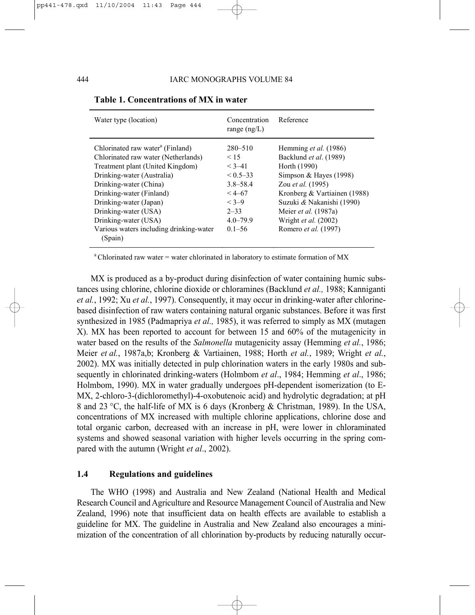| Water type (location)                                                                                                                                                                                                                                                                                                                       | Concentration<br>range $(ng/L)$                                                                                                    | Reference                                                                                                                                                                                                                                                           |
|---------------------------------------------------------------------------------------------------------------------------------------------------------------------------------------------------------------------------------------------------------------------------------------------------------------------------------------------|------------------------------------------------------------------------------------------------------------------------------------|---------------------------------------------------------------------------------------------------------------------------------------------------------------------------------------------------------------------------------------------------------------------|
| Chlorinated raw water <sup>a</sup> (Finland)<br>Chlorinated raw water (Netherlands)<br>Treatment plant (United Kingdom)<br>Drinking-water (Australia)<br>Drinking-water (China)<br>Drinking-water (Finland)<br>Drinking-water (Japan)<br>Drinking-water (USA)<br>Drinking-water (USA)<br>Various waters including drinking-water<br>(Spain) | $280 - 510$<br>< 15<br>$< 3 - 41$<br>$< 0.5 - 33$<br>$3.8 - 58.4$<br>$<$ 4–67<br>$< 3-9$<br>$2 - 33$<br>$4.0 - 79.9$<br>$0.1 - 56$ | Hemming et al. (1986)<br>Backlund et al. (1989)<br>Horth (1990)<br>Simpson & Hayes $(1998)$<br>Zou et al. (1995)<br>Kronberg & Vartiainen (1988)<br>Suzuki & Nakanishi (1990)<br>Meier <i>et al.</i> (1987a)<br>Wright et al. (2002)<br>Romero <i>et al.</i> (1997) |

### **Table 1. Concentrations of MX in water**

<sup>a</sup> Chlorinated raw water = water chlorinated in laboratory to estimate formation of MX

MX is produced as a by-product during disinfection of water containing humic substances using chlorine, chlorine dioxide or chloramines (Backlund *et al.,* 1988; Kanniganti *et al.*, 1992; Xu *et al.*, 1997). Consequently, it may occur in drinking-water after chlorinebased disinfection of raw waters containing natural organic substances. Before it was first synthesized in 1985 (Padmapriya *et al.,* 1985), it was referred to simply as MX (mutagen X). MX has been reported to account for between 15 and 60% of the mutagenicity in water based on the results of the *Salmonella* mutagenicity assay (Hemming *et al.*, 1986; Meier *et al.*, 1987a,b; Kronberg & Vartiainen, 1988; Horth *et al.*, 1989; Wright *et al.*, 2002). MX was initially detected in pulp chlorination waters in the early 1980s and subsequently in chlorinated drinking-waters (Holmbom *et al*., 1984; Hemming *et al*., 1986; Holmbom, 1990). MX in water gradually undergoes pH-dependent isomerization (to E-MX, 2-chloro-3-(dichloromethyl)-4-oxobutenoic acid) and hydrolytic degradation; at pH 8 and 23 °C, the half-life of MX is 6 days (Kronberg & Christman, 1989). In the USA, concentrations of MX increased with multiple chlorine applications, chlorine dose and total organic carbon, decreased with an increase in pH, were lower in chloraminated systems and showed seasonal variation with higher levels occurring in the spring compared with the autumn (Wright *et al*., 2002).

# **1.4 Regulations and guidelines**

The WHO (1998) and Australia and New Zealand (National Health and Medical Research Council and Agriculture and Resource Management Council of Australia and New Zealand, 1996) note that insufficient data on health effects are available to establish a guideline for MX. The guideline in Australia and New Zealand also encourages a minimization of the concentration of all chlorination by-products by reducing naturally occur-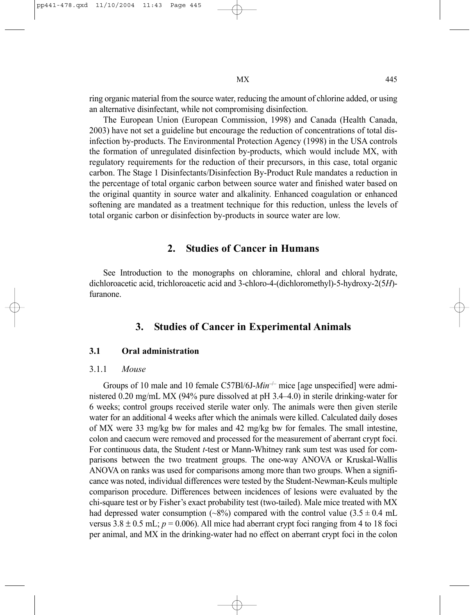The European Union (European Commission, 1998) and Canada (Health Canada, 2003) have not set a guideline but encourage the reduction of concentrations of total disinfection by-products. The Environmental Protection Agency (1998) in the USA controls the formation of unregulated disinfection by-products, which would include MX, with regulatory requirements for the reduction of their precursors, in this case, total organic carbon. The Stage 1 Disinfectants/Disinfection By-Product Rule mandates a reduction in the percentage of total organic carbon between source water and finished water based on the original quantity in source water and alkalinity. Enhanced coagulation or enhanced softening are mandated as a treatment technique for this reduction, unless the levels of total organic carbon or disinfection by-products in source water are low.

# **2. Studies of Cancer in Humans**

See Introduction to the monographs on chloramine, chloral and chloral hydrate, dichloroacetic acid, trichloroacetic acid and 3-chloro-4-(dichloromethyl)-5-hydroxy-2(5*H*) furanone.

# **3. Studies of Cancer in Experimental Animals**

### **3.1 Oral administration**

### 3.1.1 *Mouse*

Groups of 10 male and 10 female C57Bl/6J-*Min*–/– mice [age unspecified] were administered 0.20 mg/mL MX (94% pure dissolved at pH 3.4–4.0) in sterile drinking-water for 6 weeks; control groups received sterile water only. The animals were then given sterile water for an additional 4 weeks after which the animals were killed. Calculated daily doses of MX were 33 mg/kg bw for males and 42 mg/kg bw for females. The small intestine, colon and caecum were removed and processed for the measurement of aberrant crypt foci. For continuous data, the Student *t*-test or Mann-Whitney rank sum test was used for comparisons between the two treatment groups. The one-way ANOVA or Kruskal-Wallis ANOVA on ranks was used for comparisons among more than two groups. When a significance was noted, individual differences were tested by the Student-Newman-Keuls multiple comparison procedure. Differences between incidences of lesions were evaluated by the chi-square test or by Fisher's exact probability test (two-tailed). Male mice treated with MX had depressed water consumption (~8%) compared with the control value (3.5  $\pm$  0.4 mL versus  $3.8 \pm 0.5$  mL;  $p = 0.006$ ). All mice had aberrant crypt foci ranging from 4 to 18 foci per animal, and MX in the drinking-water had no effect on aberrant crypt foci in the colon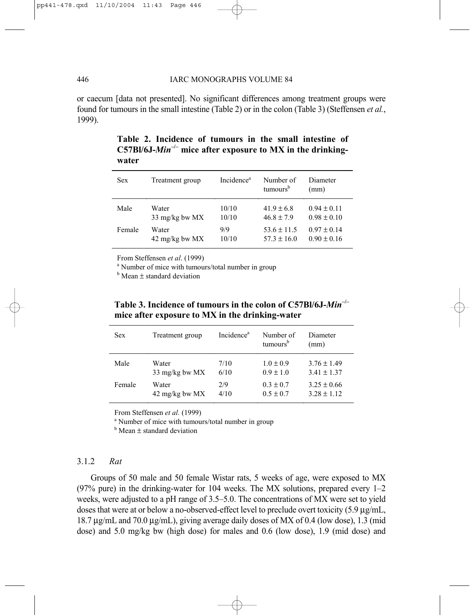### 446 IARC MONOGRAPHS VOLUME 84

or caecum [data not presented]. No significant differences among treatment groups were found for tumours in the small intestine (Table 2) or in the colon (Table 3) (Steffensen *et al.*, 1999).

| <b>Sex</b> | Treatment group | Incidence <sup>a</sup> | Number of<br>tumours <sup>b</sup> | Diameter<br>(mm) |
|------------|-----------------|------------------------|-----------------------------------|------------------|
| Male       | Water           | 10/10                  | $41.9 \pm 6.8$                    | $0.94 \pm 0.11$  |
|            | 33 mg/kg bw MX  | 10/10                  | $46.8 \pm 7.9$                    | $0.98 \pm 0.10$  |
| Female     | Water           | 9/9                    | $53.6 \pm 11.5$                   | $0.97 \pm 0.14$  |
|            | 42 mg/kg bw MX  | 10/10                  | $57.3 \pm 16.0$                   | $0.90 \pm 0.16$  |

**Table 2. Incidence of tumours in the small intestine of**  C57Bl/6J-*Min<sup>-1</sup>* mice after exposure to MX in the drinking**water** 

From Steffensen et al. (1999)

<sup>a</sup> Number of mice with tumours/total number in group

 $<sup>b</sup>$  Mean  $\pm$  standard deviation</sup>

**Table 3. Incidence of tumours in the colon of C57Bl/6J-***Min***–/– mice after exposure to MX in the drinking-water**

| <b>Sex</b> | Treatment group | Incidence <sup>a</sup> | Number of<br>tumours <sup>b</sup> | Diameter<br>(mm) |
|------------|-----------------|------------------------|-----------------------------------|------------------|
| Male       | Water           | 7/10                   | $1.0 \pm 0.9$                     | $3.76 \pm 1.49$  |
|            | 33 mg/kg bw MX  | 6/10                   | $0.9 \pm 1.0$                     | $3.41 \pm 1.37$  |
| Female     | Water           | 2/9                    | $0.3 \pm 0.7$                     | $3.25 \pm 0.66$  |
|            | 42 mg/kg bw MX  | 4/10                   | $0.5 \pm 0.7$                     | $3.28 \pm 1.12$  |

From Steffensen *et al.* (1999)

<sup>a</sup> Number of mice with tumours/total number in group

 $<sup>b</sup>$  Mean  $\pm$  standard deviation</sup>

### 3.1.2 *Rat*

Groups of 50 male and 50 female Wistar rats, 5 weeks of age, were exposed to MX (97% pure) in the drinking-water for 104 weeks. The MX solutions, prepared every 1–2 weeks, were adjusted to a pH range of 3.5–5.0. The concentrations of MX were set to yield doses that were at or below a no-observed-effect level to preclude overt toxicity  $(5.9 \mu g/mL)$ 18.7 µg/mL and 70.0 µg/mL), giving average daily doses of MX of 0.4 (low dose), 1.3 (mid dose) and 5.0 mg/kg bw (high dose) for males and 0.6 (low dose), 1.9 (mid dose) and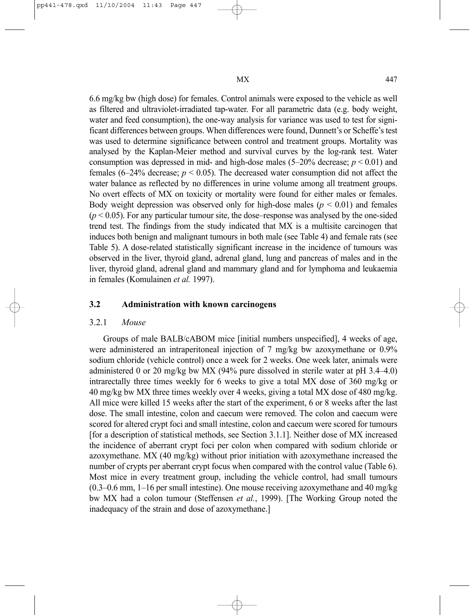6.6 mg/kg bw (high dose) for females. Control animals were exposed to the vehicle as well as filtered and ultraviolet-irradiated tap-water. For all parametric data (e.g. body weight, water and feed consumption), the one-way analysis for variance was used to test for significant differences between groups. When differences were found, Dunnett's or Scheffe's test was used to determine significance between control and treatment groups. Mortality was analysed by the Kaplan-Meier method and survival curves by the log-rank test. Water consumption was depressed in mid- and high-dose males  $(5-20\%$  decrease;  $p < 0.01$ ) and females (6–24% decrease;  $p < 0.05$ ). The decreased water consumption did not affect the water balance as reflected by no differences in urine volume among all treatment groups. No overt effects of MX on toxicity or mortality were found for either males or females. Body weight depression was observed only for high-dose males ( $p < 0.01$ ) and females  $(p < 0.05)$ . For any particular tumour site, the dose–response was analysed by the one-sided trend test. The findings from the study indicated that MX is a multisite carcinogen that induces both benign and malignant tumours in both male (see Table 4) and female rats (see Table 5). A dose-related statistically significant increase in the incidence of tumours was observed in the liver, thyroid gland, adrenal gland, lung and pancreas of males and in the liver, thyroid gland, adrenal gland and mammary gland and for lymphoma and leukaemia in females (Komulainen *et al.* 1997).

### **3.2 Administration with known carcinogens**

### 3.2.1 *Mouse*

Groups of male BALB/cABOM mice [initial numbers unspecified], 4 weeks of age, were administered an intraperitoneal injection of 7 mg/kg bw azoxymethane or 0.9% sodium chloride (vehicle control) once a week for 2 weeks. One week later, animals were administered 0 or 20 mg/kg bw MX (94% pure dissolved in sterile water at pH 3.4–4.0) intrarectally three times weekly for 6 weeks to give a total MX dose of 360 mg/kg or 40 mg/kg bw MX three times weekly over 4 weeks, giving a total MX dose of 480 mg/kg. All mice were killed 15 weeks after the start of the experiment, 6 or 8 weeks after the last dose. The small intestine, colon and caecum were removed. The colon and caecum were scored for altered crypt foci and small intestine, colon and caecum were scored for tumours [for a description of statistical methods, see Section 3.1.1]. Neither dose of MX increased the incidence of aberrant crypt foci per colon when compared with sodium chloride or azoxymethane. MX (40 mg/kg) without prior initiation with azoxymethane increased the number of crypts per aberrant crypt focus when compared with the control value (Table 6). Most mice in every treatment group, including the vehicle control, had small tumours (0.3–0.6 mm, 1–16 per small intestine). One mouse receiving azoxymethane and 40 mg/kg bw MX had a colon tumour (Steffensen *et al.*, 1999). [The Working Group noted the inadequacy of the strain and dose of azoxymethane.]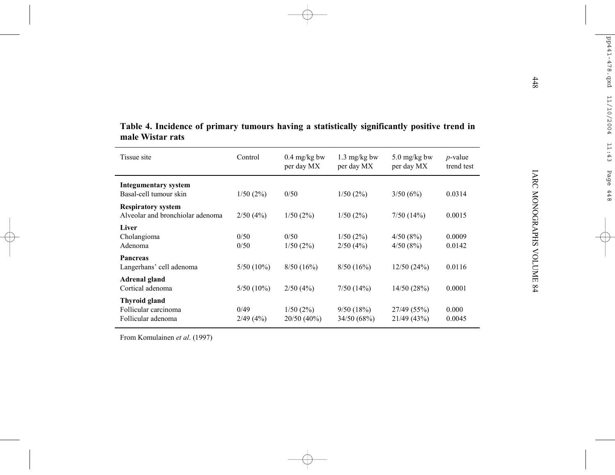| Table 4. Incidence of primary tumours having a statistically significantly positive trend in |              |                        |              |                        |            |
|----------------------------------------------------------------------------------------------|--------------|------------------------|--------------|------------------------|------------|
| male Wistar rats                                                                             |              |                        |              |                        |            |
| Tissue site                                                                                  | Control      | $0.4 \text{ mg/kg}$ bw | 1.3 mg/kg bw | $5.0 \text{ mg/kg}$ bw | $p$ -value |
|                                                                                              |              | per day MX             | per day MX   | per day MX             | trend test |
|                                                                                              |              |                        |              |                        |            |
| <b>Integumentary system</b>                                                                  |              |                        |              |                        |            |
| Basal-cell tumour skin                                                                       | 1/50(2%)     | 0/50                   | 1/50(2%)     | 3/50(6%)               | 0.0314     |
| <b>Respiratory system</b>                                                                    |              |                        |              |                        |            |
| Alveolar and bronchiolar adenoma                                                             | 2/50(4%)     | 1/50(2%)               | 1/50(2%)     | 7/50(14%)              | 0.0015     |
| Liver                                                                                        |              |                        |              |                        |            |
| Cholangioma                                                                                  | 0/50         | 0/50                   | 1/50(2%)     | 4/50(8%)               | 0.0009     |
| Adenoma                                                                                      | 0/50         | 1/50(2%)               | 2/50(4%)     | 4/50(8%)               | 0.0142     |
| Pancreas                                                                                     |              |                        |              |                        |            |
| Langerhans' cell adenoma                                                                     | $5/50(10\%)$ | 8/50(16%)              | 8/50(16%)    | 12/50(24%)             | 0.0116     |
| <b>Adrenal gland</b>                                                                         |              |                        |              |                        |            |
| Cortical adenoma                                                                             | $5/50(10\%)$ | 2/50(4%)               | 7/50(14%)    | 14/50 (28%)            | 0.0001     |
| <b>Thyroid gland</b>                                                                         |              |                        |              |                        |            |
| Follicular carcinoma                                                                         | 0/49         | 1/50(2%)               | 9/50(18%)    | 27/49 (55%)            | 0.000      |
| Follicular adenoma                                                                           | 2/49(4%)     | 20/50 (40%)            | 34/50 (68%)  | 21/49 (43%)            | 0.0045     |

From Komulainen *et al*. (1997)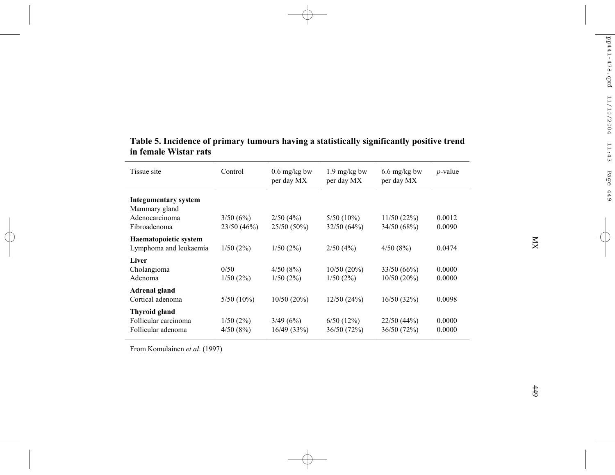| Tissue site                                                                    | Control                | $0.6$ mg/kg bw<br>per day MX | $1.9 \text{ mg/kg}$ bw<br>per day MX | $6.6 \text{ mg/kg}$ bw<br>per day MX | $p$ -value       |
|--------------------------------------------------------------------------------|------------------------|------------------------------|--------------------------------------|--------------------------------------|------------------|
| <b>Integumentary system</b><br>Mammary gland<br>Adenocarcinoma<br>Fibroadenoma | 3/50(6%)<br>23/50(46%) | $2/50(4\%)$<br>25/50 (50%)   | $5/50(10\%)$<br>32/50(64%)           | 11/50(22%)<br>34/50 (68%)            | 0.0012<br>0.0090 |
| Haematopoietic system<br>Lymphoma and leukaemia                                | 1/50(2%)               | 1/50(2%)                     | 2/50(4%)                             | 4/50(8%)                             | 0.0474           |
| Liver<br>Cholangioma<br>Adenoma                                                | 0/50<br>1/50(2%)       | 4/50(8%)<br>1/50(2%)         | 10/50(20%)<br>1/50(2%)               | 33/50(66%)<br>10/50(20%)             | 0.0000<br>0.0000 |
| <b>Adrenal gland</b><br>Cortical adenoma                                       | $5/50(10\%)$           | $10/50(20\%)$                | 12/50(24%)                           | 16/50(32%)                           | 0.0098           |
| Thyroid gland<br>Follicular carcinoma<br>Follicular adenoma                    | 1/50(2%)<br>4/50(8%)   | 3/49(6%)<br>16/49(33%)       | 6/50(12%)<br>36/50(72%)              | 22/50(44%)<br>36/50 (72%)            | 0.0000<br>0.0000 |

## **Table 5. Incidence of primary tumours having a statistically significantly positive trend in female Wistar rats**

From Komulainen *et al*. (1997)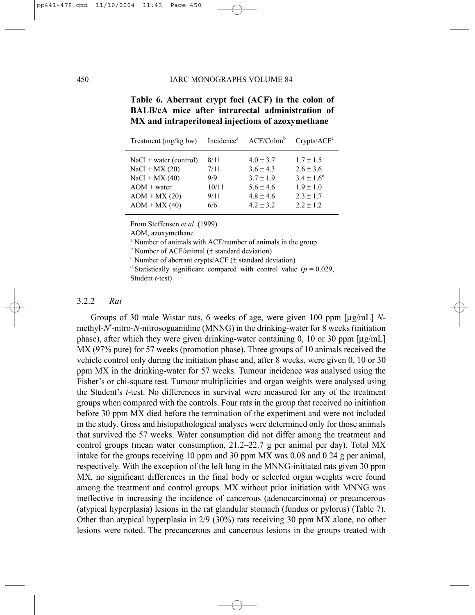| Treatment (mg/kg bw)                                                                                                   |                                             | Incidence <sup>a</sup> ACF/Colon <sup>b</sup>                                                      | Crypts/ACF <sup>c</sup>                                                                              |
|------------------------------------------------------------------------------------------------------------------------|---------------------------------------------|----------------------------------------------------------------------------------------------------|------------------------------------------------------------------------------------------------------|
| $NaCl + water (control)$<br>$NaCl + MX (20)$<br>$NaCl + MX(40)$<br>$AOM + water$<br>$AOM + MX (20)$<br>$AOM + MX (40)$ | 8/11<br>7/11<br>9/9<br>10/11<br>9/11<br>6/6 | $4.0 \pm 3.7$<br>$3.6 \pm 4.3$<br>$3.7 \pm 1.9$<br>$5.6 \pm 4.6$<br>$4.8 \pm 4.6$<br>$4.2 \pm 3.2$ | $1.7 \pm 1.5$<br>$2.6 \pm 3.6$<br>$3.4 \pm 1.6^d$<br>$1.9 \pm 1.0$<br>$2.3 \pm 1.7$<br>$2.2 \pm 1.2$ |

**Table 6. Aberrant crypt foci (ACF) in the colon of BALB/cA mice after intrarectal administration of MX and intraperitoneal injections of azoxymethane** 

From Steffensen *et al*. (1999)

AOM, azoxymethane

<sup>a</sup> Number of animals with ACF/number of animals in the group

<sup>b</sup> Number of ACF/animal ( $\pm$  standard deviation)

 $\degree$  Number of aberrant crypts/ACF ( $\pm$  standard deviation)

<sup>d</sup> Statistically significant compared with control value ( $p = 0.029$ , Student *t*-test)

### 3.2.2 *Rat*

Groups of 30 male Wistar rats, 6 weeks of age, were given 100 ppm [µg/mL] *N*methyl-*N*′-nitro-*N*-nitrosoguanidine (MNNG) in the drinking-water for 8 weeks (initiation phase), after which they were given drinking-water containing  $0$ , 10 or 30 ppm  $\lceil \mu g/m \rceil$ MX (97% pure) for 57 weeks (promotion phase). Three groups of 10 animals received the vehicle control only during the initiation phase and, after 8 weeks, were given 0, 10 or 30 ppm MX in the drinking-water for 57 weeks. Tumour incidence was analysed using the Fisher's or chi-square test. Tumour multiplicities and organ weights were analysed using the Student's *t*-test. No differences in survival were measured for any of the treatment groups when compared with the controls. Four rats in the group that received no initiation before 30 ppm MX died before the termination of the experiment and were not included in the study. Gross and histopathological analyses were determined only for those animals that survived the 57 weeks. Water consumption did not differ among the treatment and control groups (mean water consumption, 21.2–22.7 g per animal per day). Total MX intake for the groups receiving 10 ppm and 30 ppm MX was 0.08 and 0.24 g per animal, respectively. With the exception of the left lung in the MNNG-initiated rats given 30 ppm MX, no significant differences in the final body or selected organ weights were found among the treatment and control groups. MX without prior initiation with MNNG was ineffective in increasing the incidence of cancerous (adenocarcinoma) or precancerous (atypical hyperplasia) lesions in the rat glandular stomach (fundus or pylorus) (Table 7). Other than atypical hyperplasia in 2/9 (30%) rats receiving 30 ppm MX alone, no other lesions were noted. The precancerous and cancerous lesions in the groups treated with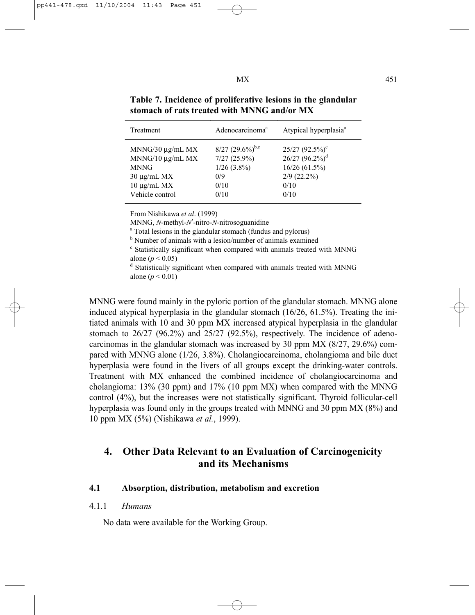| Treatment               | Adenocarcinoma <sup>a</sup>    | Atypical hyperplasia <sup>a</sup> |
|-------------------------|--------------------------------|-----------------------------------|
| $MNNG/30 \mu g/mL$ MX   | $8/27$ $(29.6\%)^{\text{b,c}}$ | $25/27$ $(92.5\%)$ <sup>c</sup>   |
| $MNNG/10 \mu g/mL$ $MX$ | $7/27(25.9\%)$                 | $26/27(96.2\%)^d$                 |
| <b>MNNG</b>             | $1/26$ (3.8%)                  | 16/26(61.5%)                      |
| $30 \mu g/mL$ MX        | 0/9                            | $2/9$ (22.2%)                     |
| $10 \mu g/mL$ MX        | 0/10                           | 0/10                              |
| Vehicle control         | 0/10                           | 0/10                              |

**Table 7. Incidence of proliferative lesions in the glandular stomach of rats treated with MNNG and/or MX** 

From Nishikawa *et al*. (1999)

MNNG, *N*-methyl-*N*<sup>'</sup>-nitro-*N*-nitrosoguanidine

Total lesions in the glandular stomach (fundus and pylorus)

<sup>b</sup> Number of animals with a lesion/number of animals examined

<sup>c</sup> Statistically significant when compared with animals treated with MNNG alone ( $p < 0.05$ )

 Statistically significant when compared with animals treated with MNNG alone ( $p < 0.01$ )

MNNG were found mainly in the pyloric portion of the glandular stomach. MNNG alone induced atypical hyperplasia in the glandular stomach (16/26, 61.5%). Treating the initiated animals with 10 and 30 ppm MX increased atypical hyperplasia in the glandular stomach to  $26/27$  (96.2%) and  $25/27$  (92.5%), respectively. The incidence of adenocarcinomas in the glandular stomach was increased by 30 ppm MX (8/27, 29.6%) compared with MNNG alone (1/26, 3.8%). Cholangiocarcinoma, cholangioma and bile duct hyperplasia were found in the livers of all groups except the drinking-water controls. Treatment with MX enhanced the combined incidence of cholangiocarcinoma and cholangioma:  $13\%$  (30 ppm) and  $17\%$  (10 ppm MX) when compared with the MNNG control (4%), but the increases were not statistically significant. Thyroid follicular-cell hyperplasia was found only in the groups treated with MNNG and 30 ppm MX (8%) and 10 ppm MX (5%) (Nishikawa *et al.*, 1999).

# **4. Other Data Relevant to an Evaluation of Carcinogenicity and its Mechanisms**

### **4.1 Absorption, distribution, metabolism and excretion**

### 4.1.1 *Humans*

No data were available for the Working Group.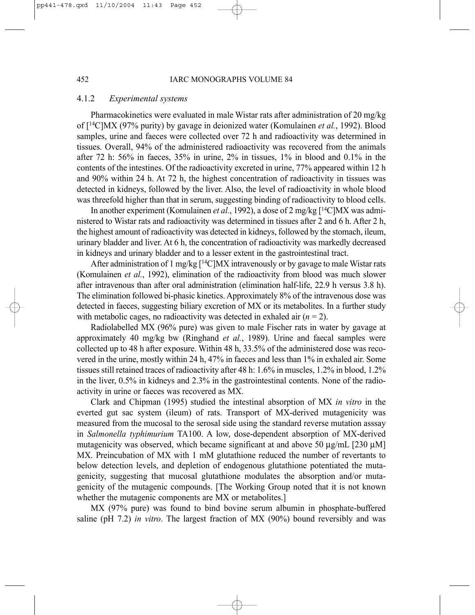### 4.1.2 *Experimental systems*

Pharmacokinetics were evaluated in male Wistar rats after administration of 20 mg/kg of [14C]MX (97% purity) by gavage in deionized water (Komulainen *et al.*, 1992). Blood samples, urine and faeces were collected over 72 h and radioactivity was determined in tissues. Overall, 94% of the administered radioactivity was recovered from the animals after 72 h: 56% in faeces, 35% in urine, 2% in tissues, 1% in blood and 0.1% in the contents of the intestines. Of the radioactivity excreted in urine, 77% appeared within 12 h and 90% within 24 h. At 72 h, the highest concentration of radioactivity in tissues was detected in kidneys, followed by the liver. Also, the level of radioactivity in whole blood was threefold higher than that in serum, suggesting binding of radioactivity to blood cells.

In another experiment (Komulainen *et al.*, 1992), a dose of 2 mg/kg [<sup>14</sup>C]MX was administered to Wistar rats and radioactivity was determined in tissues after 2 and 6 h. After 2 h, the highest amount of radioactivity was detected in kidneys, followed by the stomach, ileum, urinary bladder and liver. At 6 h, the concentration of radioactivity was markedly decreased in kidneys and urinary bladder and to a lesser extent in the gastrointestinal tract.

After administration of 1 mg/kg  $[14C]$ MX intravenously or by gavage to male Wistar rats (Komulainen *et al.*, 1992), elimination of the radioactivity from blood was much slower after intravenous than after oral administration (elimination half-life, 22.9 h versus 3.8 h). The elimination followed bi-phasic kinetics. Approximately 8% of the intravenous dose was detected in faeces, suggesting biliary excretion of MX or its metabolites. In a further study with metabolic cages, no radioactivity was detected in exhaled air  $(n = 2)$ .

Radiolabelled MX (96% pure) was given to male Fischer rats in water by gavage at approximately 40 mg/kg bw (Ringhand *et al.*, 1989). Urine and faecal samples were collected up to 48 h after exposure. Within 48 h, 33.5% of the administered dose was recovered in the urine, mostly within 24 h, 47% in faeces and less than 1% in exhaled air. Some tissues still retained traces of radioactivity after 48 h: 1.6% in muscles, 1.2% in blood, 1.2% in the liver,  $0.5\%$  in kidneys and  $2.3\%$  in the gastrointestinal contents. None of the radioactivity in urine or faeces was recovered as MX.

Clark and Chipman (1995) studied the intestinal absorption of MX *in vitro* in the everted gut sac system (ileum) of rats. Transport of MX-derived mutagenicity was measured from the mucosal to the serosal side using the standard reverse mutation asssay in *Salmonella typhimurium* TA100. A low, dose-dependent absorption of MX-derived mutagenicity was observed, which became significant at and above 50  $\mu$ g/mL [230  $\mu$ M] MX. Preincubation of MX with 1 mM glutathione reduced the number of revertants to below detection levels, and depletion of endogenous glutathione potentiated the mutagenicity, suggesting that mucosal glutathione modulates the absorption and/or mutagenicity of the mutagenic compounds. [The Working Group noted that it is not known whether the mutagenic components are MX or metabolites.]

MX (97% pure) was found to bind bovine serum albumin in phosphate-buffered saline (pH 7.2) *in vitro*. The largest fraction of MX (90%) bound reversibly and was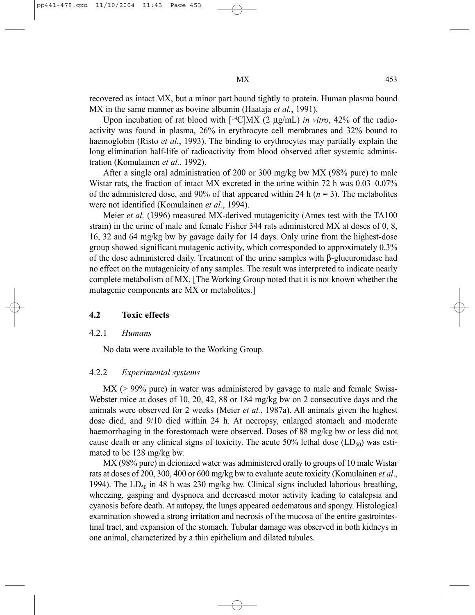recovered as intact MX, but a minor part bound tightly to protein. Human plasma bound MX in the same manner as bovine albumin (Haataja *et al.*, 1991).

Upon incubation of rat blood with  $[$ <sup>14</sup>C]MX (2 µg/mL) *in vitro*, 42% of the radioactivity was found in plasma, 26% in erythrocyte cell membranes and 32% bound to haemoglobin (Risto *et al.*, 1993). The binding to erythrocytes may partially explain the long elimination half-life of radioactivity from blood observed after systemic administration (Komulainen *et al.*, 1992).

After a single oral administration of 200 or 300 mg/kg bw MX (98% pure) to male Wistar rats, the fraction of intact MX excreted in the urine within 72 h was 0.03–0.07% of the administered dose, and 90% of that appeared within 24 h  $(n = 3)$ . The metabolites were not identified (Komulainen *et al.*, 1994).

Meier *et al.* (1996) measured MX-derived mutagenicity (Ames test with the TA100 strain) in the urine of male and female Fisher 344 rats administered MX at doses of 0, 8, 16, 32 and 64 mg/kg bw by gavage daily for 14 days. Only urine from the highest-dose group showed significant mutagenic activity, which corresponded to approximately 0.3% of the dose administered daily. Treatment of the urine samples with β-glucuronidase had no effect on the mutagenicity of any samples. The result was interpreted to indicate nearly complete metabolism of MX. [The Working Group noted that it is not known whether the mutagenic components are MX or metabolites.]

### **4.2 Toxic effects**

### 4.2.1 *Humans*

No data were available to the Working Group.

### 4.2.2 *Experimental systems*

 $MX$  ( $> 99\%$  pure) in water was administered by gavage to male and female Swiss-Webster mice at doses of 10, 20, 42, 88 or 184 mg/kg bw on 2 consecutive days and the animals were observed for 2 weeks (Meier *et al.*, 1987a). All animals given the highest dose died, and 9/10 died within 24 h. At necropsy, enlarged stomach and moderate haemorrhaging in the forestomach were observed. Doses of 88 mg/kg bw or less did not cause death or any clinical signs of toxicity. The acute 50% lethal dose  $(LD_{50})$  was estimated to be 128 mg/kg bw.

MX (98% pure) in deionized water was administered orally to groups of 10 male Wistar rats at doses of 200, 300, 400 or 600 mg/kg bw to evaluate acute toxicity (Komulainen *et al*., 1994). The  $LD_{50}$  in 48 h was 230 mg/kg bw. Clinical signs included laborious breathing, wheezing, gasping and dyspnoea and decreased motor activity leading to catalepsia and cyanosis before death. At autopsy, the lungs appeared oedematous and spongy. Histological examination showed a strong irritation and necrosis of the mucosa of the entire gastrointestinal tract, and expansion of the stomach. Tubular damage was observed in both kidneys in one animal, characterized by a thin epithelium and dilated tubules.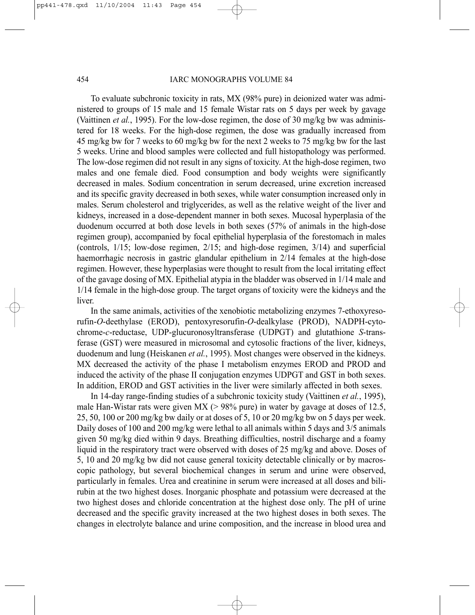### 454 IARC MONOGRAPHS VOLUME 84

To evaluate subchronic toxicity in rats, MX (98% pure) in deionized water was administered to groups of 15 male and 15 female Wistar rats on 5 days per week by gavage (Vaittinen *et al.*, 1995). For the low-dose regimen, the dose of 30 mg/kg bw was administered for 18 weeks. For the high-dose regimen, the dose was gradually increased from 45 mg/kg bw for 7 weeks to 60 mg/kg bw for the next 2 weeks to 75 mg/kg bw for the last 5 weeks. Urine and blood samples were collected and full histopathology was performed. The low-dose regimen did not result in any signs of toxicity. At the high-dose regimen, two males and one female died. Food consumption and body weights were significantly decreased in males. Sodium concentration in serum decreased, urine excretion increased and its specific gravity decreased in both sexes, while water consumption increased only in males. Serum cholesterol and triglycerides, as well as the relative weight of the liver and kidneys, increased in a dose-dependent manner in both sexes. Mucosal hyperplasia of the duodenum occurred at both dose levels in both sexes (57% of animals in the high-dose regimen group), accompanied by focal epithelial hyperplasia of the forestomach in males (controls, 1/15; low-dose regimen, 2/15; and high-dose regimen, 3/14) and superficial haemorrhagic necrosis in gastric glandular epithelium in 2/14 females at the high-dose regimen. However, these hyperplasias were thought to result from the local irritating effect of the gavage dosing of MX. Epithelial atypia in the bladder was observed in 1/14 male and 1/14 female in the high-dose group. The target organs of toxicity were the kidneys and the liver.

In the same animals, activities of the xenobiotic metabolizing enzymes 7-ethoxyresorufin-*O*-deethylase (EROD), pentoxyresorufin-*O*-dealkylase (PROD), NADPH-cytochrome-*c*-reductase, UDP-glucuronosyltransferase (UDPGT) and glutathione *S*-transferase (GST) were measured in microsomal and cytosolic fractions of the liver, kidneys, duodenum and lung (Heiskanen *et al.*, 1995). Most changes were observed in the kidneys. MX decreased the activity of the phase I metabolism enzymes EROD and PROD and induced the activity of the phase II conjugation enzymes UDPGT and GST in both sexes. In addition, EROD and GST activities in the liver were similarly affected in both sexes.

In 14-day range-finding studies of a subchronic toxicity study (Vaittinen *et al.*, 1995), male Han-Wistar rats were given  $MX$  ( $> 98\%$  pure) in water by gavage at doses of 12.5, 25, 50, 100 or 200 mg/kg bw daily or at doses of 5, 10 or 20 mg/kg bw on 5 days per week. Daily doses of 100 and 200 mg/kg were lethal to all animals within 5 days and 3/5 animals given 50 mg/kg died within 9 days. Breathing difficulties, nostril discharge and a foamy liquid in the respiratory tract were observed with doses of 25 mg/kg and above. Doses of 5, 10 and 20 mg/kg bw did not cause general toxicity detectable clinically or by macroscopic pathology, but several biochemical changes in serum and urine were observed, particularly in females. Urea and creatinine in serum were increased at all doses and bilirubin at the two highest doses. Inorganic phosphate and potassium were decreased at the two highest doses and chloride concentration at the highest dose only. The pH of urine decreased and the specific gravity increased at the two highest doses in both sexes. The changes in electrolyte balance and urine composition, and the increase in blood urea and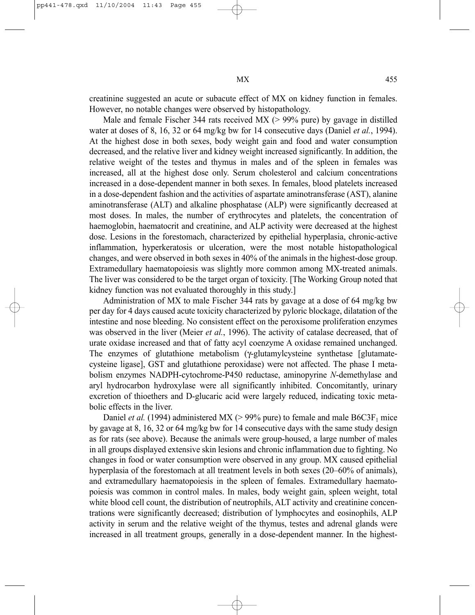creatinine suggested an acute or subacute effect of MX on kidney function in females. However, no notable changes were observed by histopathology.

Male and female Fischer 344 rats received MX (> 99% pure) by gavage in distilled water at doses of 8, 16, 32 or 64 mg/kg bw for 14 consecutive days (Daniel *et al.*, 1994). At the highest dose in both sexes, body weight gain and food and water consumption decreased, and the relative liver and kidney weight increased significantly. In addition, the relative weight of the testes and thymus in males and of the spleen in females was increased, all at the highest dose only. Serum cholesterol and calcium concentrations increased in a dose-dependent manner in both sexes. In females, blood platelets increased in a dose-dependent fashion and the activities of aspartate aminotransferase (AST), alanine aminotransferase (ALT) and alkaline phosphatase (ALP) were significantly decreased at most doses. In males, the number of erythrocytes and platelets, the concentration of haemoglobin, haematocrit and creatinine, and ALP activity were decreased at the highest dose. Lesions in the forestomach, characterized by epithelial hyperplasia, chronic-active inflammation, hyperkeratosis or ulceration, were the most notable histopathological changes, and were observed in both sexes in 40% of the animals in the highest-dose group. Extramedullary haematopoiesis was slightly more common among MX-treated animals. The liver was considered to be the target organ of toxicity. [The Working Group noted that kidney function was not evaluated thoroughly in this study.]

Administration of MX to male Fischer 344 rats by gavage at a dose of 64 mg/kg bw per day for 4 days caused acute toxicity characterized by pyloric blockage, dilatation of the intestine and nose bleeding. No consistent effect on the peroxisome proliferation enzymes was observed in the liver (Meier *et al.*, 1996). The activity of catalase decreased, that of urate oxidase increased and that of fatty acyl coenzyme A oxidase remained unchanged. The enzymes of glutathione metabolism (γ-glutamylcysteine synthetase [glutamatecysteine ligase], GST and glutathione peroxidase) were not affected. The phase I metabolism enzymes NADPH-cytochrome-P450 reductase, aminopyrine *N*-demethylase and aryl hydrocarbon hydroxylase were all significantly inhibited. Concomitantly, urinary excretion of thioethers and D-glucaric acid were largely reduced, indicating toxic metabolic effects in the liver.

Daniel *et al.* (1994) administered MX ( $>$  99% pure) to female and male B6C3F<sub>1</sub> mice by gavage at 8, 16, 32 or 64 mg/kg bw for 14 consecutive days with the same study design as for rats (see above). Because the animals were group-housed, a large number of males in all groups displayed extensive skin lesions and chronic inflammation due to fighting. No changes in food or water consumption were observed in any group. MX caused epithelial hyperplasia of the forestomach at all treatment levels in both sexes (20–60% of animals), and extramedullary haematopoiesis in the spleen of females. Extramedullary haematopoiesis was common in control males. In males, body weight gain, spleen weight, total white blood cell count, the distribution of neutrophils, ALT activity and creatinine concentrations were significantly decreased; distribution of lymphocytes and eosinophils, ALP activity in serum and the relative weight of the thymus, testes and adrenal glands were increased in all treatment groups, generally in a dose-dependent manner. In the highest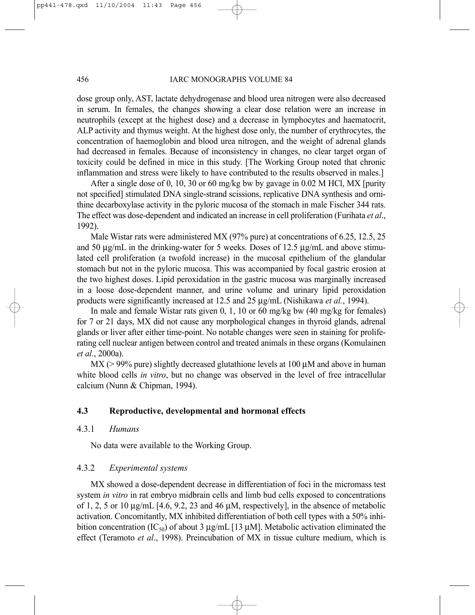dose group only, AST, lactate dehydrogenase and blood urea nitrogen were also decreased in serum. In females, the changes showing a clear dose relation were an increase in neutrophils (except at the highest dose) and a decrease in lymphocytes and haematocrit, ALP activity and thymus weight. At the highest dose only, the number of erythrocytes, the concentration of haemoglobin and blood urea nitrogen, and the weight of adrenal glands had decreased in females. Because of inconsistency in changes, no clear target organ of toxicity could be defined in mice in this study. [The Working Group noted that chronic inflammation and stress were likely to have contributed to the results observed in males.]

After a single dose of 0, 10, 30 or 60 mg/kg bw by gavage in 0.02 M HCl, MX [purity not specified] stimulated DNA single-strand scissions, replicative DNA synthesis and ornithine decarboxylase activity in the pyloric mucosa of the stomach in male Fischer 344 rats. The effect was dose-dependent and indicated an increase in cell proliferation (Furihata *et al*., 1992).

Male Wistar rats were administered MX (97% pure) at concentrations of 6.25, 12.5, 25 and 50 µg/mL in the drinking-water for 5 weeks. Doses of 12.5 µg/mL and above stimulated cell proliferation (a twofold increase) in the mucosal epithelium of the glandular stomach but not in the pyloric mucosa. This was accompanied by focal gastric erosion at the two highest doses. Lipid peroxidation in the gastric mucosa was marginally increased in a loose dose-dependent manner, and urine volume and urinary lipid peroxidation products were significantly increased at 12.5 and 25 µg/mL (Nishikawa *et al.*, 1994).

In male and female Wistar rats given 0, 1, 10 or 60 mg/kg bw (40 mg/kg for females) for 7 or 21 days, MX did not cause any morphological changes in thyroid glands, adrenal glands or liver after either time-point. No notable changes were seen in staining for proliferating cell nuclear antigen between control and treated animals in these organs (Komulainen *et al.*, 2000a).

 $MX$  ( $> 99\%$  pure) slightly decreased glutathione levels at 100  $\mu$ M and above in human white blood cells *in vitro*, but no change was observed in the level of free intracellular calcium (Nunn & Chipman, 1994).

### **4.3 Reproductive, developmental and hormonal effects**

### 4.3.1 *Humans*

No data were available to the Working Group.

### 4.3.2 *Experimental systems*

MX showed a dose-dependent decrease in differentiation of foci in the micromass test system *in vitro* in rat embryo midbrain cells and limb bud cells exposed to concentrations of 1, 2, 5 or 10  $\mu$ g/mL [4.6, 9.2, 23 and 46  $\mu$ M, respectively], in the absence of metabolic activation. Concomitantly, MX inhibited differentiation of both cell types with a 50% inhibition concentration (IC<sub>50</sub>) of about 3  $\mu$ g/mL [13  $\mu$ M]. Metabolic activation eliminated the effect (Teramoto *et al*., 1998). Preincubation of MX in tissue culture medium, which is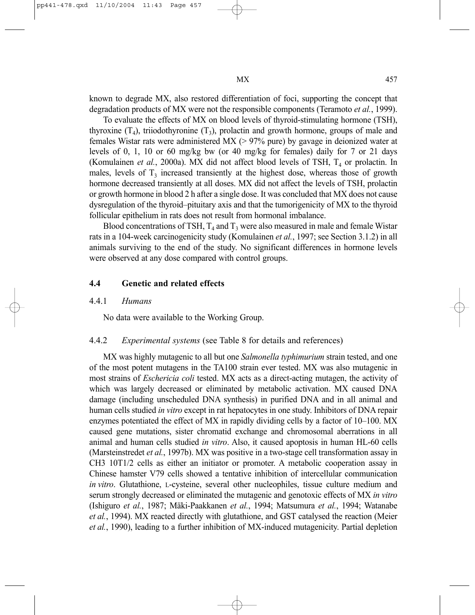known to degrade MX, also restored differentiation of foci, supporting the concept that degradation products of MX were not the responsible components (Teramoto *et al.*, 1999).

To evaluate the effects of MX on blood levels of thyroid-stimulating hormone (TSH), thyroxine  $(T_4)$ , triiodothyronine  $(T_3)$ , prolactin and growth hormone, groups of male and females Wistar rats were administered MX (> 97% pure) by gavage in deionized water at levels of 0, 1, 10 or 60 mg/kg bw (or 40 mg/kg for females) daily for 7 or 21 days (Komulainen *et al.*, 2000a). MX did not affect blood levels of TSH,  $T<sub>4</sub>$  or prolactin. In males, levels of  $T_3$  increased transiently at the highest dose, whereas those of growth hormone decreased transiently at all doses. MX did not affect the levels of TSH, prolactin or growth hormone in blood 2 h after a single dose. It was concluded that MX does not cause dysregulation of the thyroid–pituitary axis and that the tumorigenicity of MX to the thyroid follicular epithelium in rats does not result from hormonal imbalance.

Blood concentrations of TSH,  $T_4$  and  $T_3$  were also measured in male and female Wistar rats in a 104-week carcinogenicity study (Komulainen *et al.*, 1997; see Section 3.1.2) in all animals surviving to the end of the study. No significant differences in hormone levels were observed at any dose compared with control groups.

### **4.4 Genetic and related effects**

### 4.4.1 *Humans*

No data were available to the Working Group.

### 4.4.2 *Experimental systems* (see Table 8 for details and references)

MX was highly mutagenic to all but one *Salmonella typhimurium* strain tested, and one of the most potent mutagens in the TA100 strain ever tested. MX was also mutagenic in most strains of *Eschericia coli* tested. MX acts as a direct-acting mutagen, the activity of which was largely decreased or eliminated by metabolic activation. MX caused DNA damage (including unscheduled DNA synthesis) in purified DNA and in all animal and human cells studied *in vitro* except in rat hepatocytes in one study. Inhibitors of DNA repair enzymes potentiated the effect of MX in rapidly dividing cells by a factor of 10–100. MX caused gene mutations, sister chromatid exchange and chromosomal aberrations in all animal and human cells studied *in vitro*. Also, it caused apoptosis in human HL-60 cells (Marsteinstredet *et al.*, 1997b). MX was positive in a two-stage cell transformation assay in CH3 10T1/2 cells as either an initiator or promoter. A metabolic cooperation assay in Chinese hamster V79 cells showed a tentative inhibition of intercellular communication *in vitro*. Glutathione, L-cysteine, several other nucleophiles, tissue culture medium and serum strongly decreased or eliminated the mutagenic and genotoxic effects of MX *in vitro* (Ishiguro *et al.*, 1987; Mäki-Paakkanen *et al.*, 1994; Matsumura *et al.*, 1994; Watanabe *et al.*, 1994). MX reacted directly with glutathione, and GST catalysed the reaction (Meier *et al.*, 1990), leading to a further inhibition of MX-induced mutagenicity. Partial depletion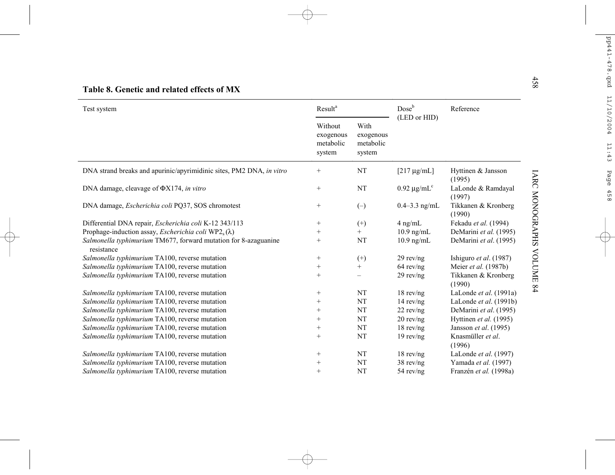| Test system                                                                      | Result <sup>a</sup>                         |                                          | Dose <sup>b</sup> | Reference                     |
|----------------------------------------------------------------------------------|---------------------------------------------|------------------------------------------|-------------------|-------------------------------|
|                                                                                  | Without<br>exogenous<br>metabolic<br>system | With<br>exogenous<br>metabolic<br>system | (LED or HID)      |                               |
| DNA strand breaks and apurinic/apyrimidinic sites, PM2 DNA, in vitro             | $^{+}$                                      | NT                                       | $[217 \mu g/mL]$  | Hyttinen & Jansson<br>(1995)  |
| DNA damage, cleavage of $\Phi X174$ , in vitro                                   | $+$                                         | NT                                       | $0.92 \mu g/mLc$  | LaLonde & Ramdayal<br>(1997)  |
| DNA damage, <i>Escherichia coli</i> PQ37, SOS chromotest                         | $^{+}$                                      | $(-)$                                    | $0.4 - 3.3$ ng/mL | Tikkanen & Kronberg<br>(1990) |
| Differential DNA repair, Escherichia coli K-12 343/113                           | $\! + \!\!\!\!$                             | $^{(+)}$                                 | $4$ ng/mL         | Fekadu et al. (1994)          |
| Prophage-induction assay, <i>Escherichia coli</i> WP2 <sub>s</sub> ( $\lambda$ ) | $^{+}$                                      | $+$                                      | $10.9$ ng/mL      | DeMarini et al. (1995)        |
| Salmonella typhimurium TM677, forward mutation for 8-azaguanine<br>resistance    | $^{+}$                                      | NT                                       | $10.9$ ng/mL      | DeMarini et al. (1995)        |
| Salmonella typhimurium TA100, reverse mutation                                   | $\! + \!\!\!\!$                             | $^{(+)}$                                 | $29$ rev/ng       | Ishiguro et al. (1987)        |
| Salmonella typhimurium TA100, reverse mutation                                   | $^{+}$                                      | $^{+}$                                   | $64$ rev/ng       | Meier et al. (1987b)          |
| Salmonella typhimurium TA100, reverse mutation                                   | $^{+}$                                      |                                          | $29$ rev/ng       | Tikkanen & Kronberg<br>(1990) |
| Salmonella typhimurium TA100, reverse mutation                                   |                                             | NT                                       | $18$ rev/ng       | LaLonde et al. (1991a)        |
| Salmonella typhimurium TA100, reverse mutation                                   | $^{+}$                                      | NT                                       | $14$ rev/ng       | LaLonde et al. (1991b)        |
| Salmonella typhimurium TA100, reverse mutation                                   | $+$                                         | NT                                       | $22$ rev/ng       | DeMarini et al. (1995)        |
| Salmonella typhimurium TA100, reverse mutation                                   | $^{+}$                                      | NT                                       | $20$ rev/ng       | Hyttinen et al. (1995)        |
| Salmonella typhimurium TA100, reverse mutation                                   | $\! + \!\!\!\!$                             | <b>NT</b>                                | $18$ rev/ng       | Jansson et al. (1995)         |
| Salmonella typhimurium TA100, reverse mutation                                   | $^{+}$                                      | NT                                       | $19$ rev/ng       | Knasmüller et al.<br>(1996)   |
| Salmonella typhimurium TA100, reverse mutation                                   | $^{+}$                                      | NT                                       | $18$ rev/ng       | LaLonde et al. (1997)         |
| Salmonella typhimurium TA100, reverse mutation                                   | $^{+}$                                      | NT                                       | $38$ rev/ng       | Yamada et al. (1997)          |
| Salmonella typhimurium TA100, reverse mutation                                   | $+$                                         | NT                                       | $54$ rev/ng       | Franzén et al. (1998a)        |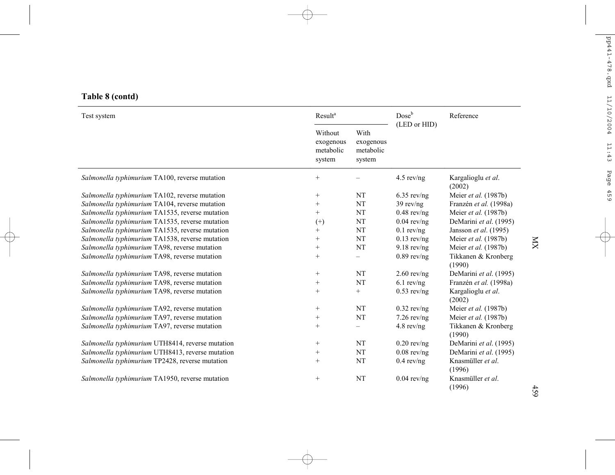| Table 8 (contd) |  |  |
|-----------------|--|--|
|                 |  |  |

| Test system                                      | Result <sup>a</sup>                         |                                          |               | Reference                     |  |
|--------------------------------------------------|---------------------------------------------|------------------------------------------|---------------|-------------------------------|--|
|                                                  | Without<br>exogenous<br>metabolic<br>system | With<br>exogenous<br>metabolic<br>system | (LED or HID)  |                               |  |
| Salmonella typhimurium TA100, reverse mutation   | $+$                                         |                                          | $4.5$ rev/ng  | Kargalioglu et al.<br>(2002)  |  |
| Salmonella typhimurium TA102, reverse mutation   | $\! + \!\!\!\!$                             | NT                                       | $6.35$ rev/ng | Meier et al. (1987b)          |  |
| Salmonella typhimurium TA104, reverse mutation   | $^{+}$                                      | NT                                       | $39$ rev/ng   | Franzén et al. (1998a)        |  |
| Salmonella typhimurium TA1535, reverse mutation  | $^+$                                        | NT                                       | $0.48$ rev/ng | Meier et al. (1987b)          |  |
| Salmonella typhimurium TA1535, reverse mutation  | $^{(+)}$                                    | NT                                       | $0.04$ rev/ng | DeMarini et al. (1995)        |  |
| Salmonella typhimurium TA1535, reverse mutation  | $^{+}$                                      | NT                                       | $0.1$ rev/ng  | Jansson et al. (1995)         |  |
| Salmonella typhimurium TA1538, reverse mutation  | $^+$                                        | <b>NT</b>                                | $0.13$ rev/ng | Meier et al. (1987b)          |  |
| Salmonella typhimurium TA98, reverse mutation    | $^{+}$                                      | NT                                       | $9.18$ rev/ng | Meier et al. (1987b)          |  |
| Salmonella typhimurium TA98, reverse mutation    | $+$                                         |                                          | $0.89$ rev/ng | Tikkanen & Kronberg<br>(1990) |  |
| Salmonella typhimurium TA98, reverse mutation    | $\! + \!\!\!\!$                             | NT                                       | $2.60$ rev/ng | DeMarini et al. (1995)        |  |
| Salmonella typhimurium TA98, reverse mutation    | $\! + \!\!\!\!$                             | NT                                       | $6.1$ rev/ng  | Franzén et al. (1998a)        |  |
| Salmonella typhimurium TA98, reverse mutation    | $^{+}$                                      | $^{+}$                                   | $0.53$ rev/ng | Kargalioglu et al.<br>(2002)  |  |
| Salmonella typhimurium TA92, reverse mutation    | $+$                                         | NT                                       | $0.32$ rev/ng | Meier et al. (1987b)          |  |
| Salmonella typhimurium TA97, reverse mutation    | $\! + \!\!\!\!$                             | NT                                       | $7.26$ rev/ng | Meier et al. (1987b)          |  |
| Salmonella typhimurium TA97, reverse mutation    | $^{+}$                                      | $\overline{\phantom{0}}$                 | $4.8$ rev/ng  | Tikkanen & Kronberg<br>(1990) |  |
| Salmonella typhimurium UTH8414, reverse mutation | $\! + \!\!\!\!$                             | NT                                       | $0.20$ rev/ng | DeMarini et al. (1995)        |  |
| Salmonella typhimurium UTH8413, reverse mutation | $^{+}$                                      | NT                                       | $0.08$ rev/ng | DeMarini et al. (1995)        |  |
| Salmonella typhimurium TP2428, reverse mutation  | $^{+}$                                      | <b>NT</b>                                | $0.4$ rev/ng  | Knasmüller et al.<br>(1996)   |  |
| Salmonella typhimurium TA1950, reverse mutation  | $\! + \!\!\!\!$                             | NT                                       | $0.04$ rev/ng | Knasmüller et al.<br>(1996)   |  |

MX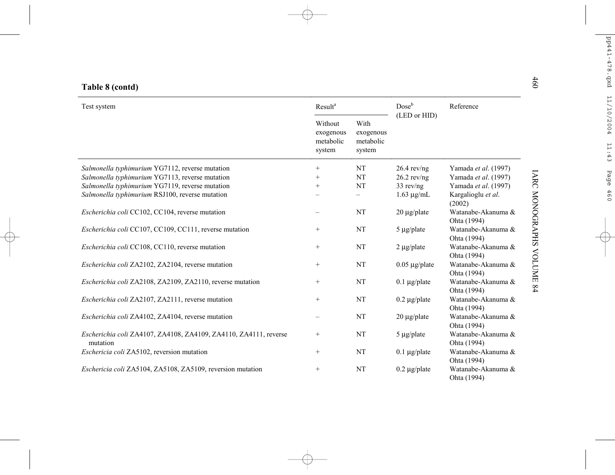| Table 8 (contd) |  |  |  |
|-----------------|--|--|--|
|-----------------|--|--|--|

| Table 8 (contd)                                                              |                                             |                                          |                    |                                   |
|------------------------------------------------------------------------------|---------------------------------------------|------------------------------------------|--------------------|-----------------------------------|
| Test system                                                                  | Result <sup>a</sup>                         |                                          | $Dose^b$           | Reference                         |
|                                                                              | Without<br>exogenous<br>metabolic<br>system | With<br>exogenous<br>metabolic<br>system | (LED or HID)       |                                   |
| Salmonella typhimurium YG7112, reverse mutation                              | $^{+}$                                      | NT                                       | $26.4$ rev/ng      | Yamada et al. (1997)              |
| Salmonella typhimurium YG7113, reverse mutation                              | $^{+}$                                      | NT                                       | $26.2$ rev/ng      | Yamada et al. (1997)              |
| Salmonella typhimurium YG7119, reverse mutation                              | $^{+}$                                      | NT                                       | $33$ rev/ng        | Yamada et al. (1997)              |
| Salmonella typhimurium RSJ100, reverse mutation                              |                                             |                                          | $1.63 \mu g/mL$    | Kargalioglu et al.<br>(2002)      |
| <i>Escherichia coli</i> CC102, CC104, reverse mutation                       |                                             | <b>NT</b>                                | 20 µg/plate        | Watanabe-Akanuma &<br>Ohta (1994) |
| Escherichia coli CC107, CC109, CC111, reverse mutation                       | $^{+}$                                      | <b>NT</b>                                | $5 \mu g$ plate    | Watanabe-Akanuma &<br>Ohta (1994) |
| Escherichia coli CC108, CC110, reverse mutation                              | $+$                                         | NT                                       | $2 \mu g$ plate    | Watanabe-Akanuma &<br>Ohta (1994) |
| Escherichia coli ZA2102, ZA2104, reverse mutation                            | $\! + \!\!\!\!$                             | NT                                       | $0.05 \mu g$ plate | Watanabe-Akanuma &<br>Ohta (1994) |
| Escherichia coli ZA2108, ZA2109, ZA2110, reverse mutation                    | $+$                                         | <b>NT</b>                                | $0.1 \mu g$ plate  | Watanabe-Akanuma &<br>Ohta (1994) |
| Escherichia coli ZA2107, ZA2111, reverse mutation                            | $^{+}$                                      | NT                                       | $0.2 \mu g$ /plate | Watanabe-Akanuma &<br>Ohta (1994) |
| Escherichia coli ZA4102, ZA4104, reverse mutation                            |                                             | <b>NT</b>                                | $20 \mu g$ /plate  | Watanabe-Akanuma &<br>Ohta (1994) |
| Escherichia coli ZA4107, ZA4108, ZA4109, ZA4110, ZA4111, reverse<br>mutation | $+$                                         | NT                                       | $5 \mu g$ plate    | Watanabe-Akanuma &<br>Ohta (1994) |
| Eschericia coli ZA5102, reversion mutation                                   | $+$                                         | <b>NT</b>                                | $0.1 \mu g$ plate  | Watanabe-Akanuma &<br>Ohta (1994) |
| Eschericia coli ZA5104, ZA5108, ZA5109, reversion mutation                   | $^{+}$                                      | NT                                       | $0.2 \mu g$ plate  | Watanabe-Akanuma &<br>Ohta (1994) |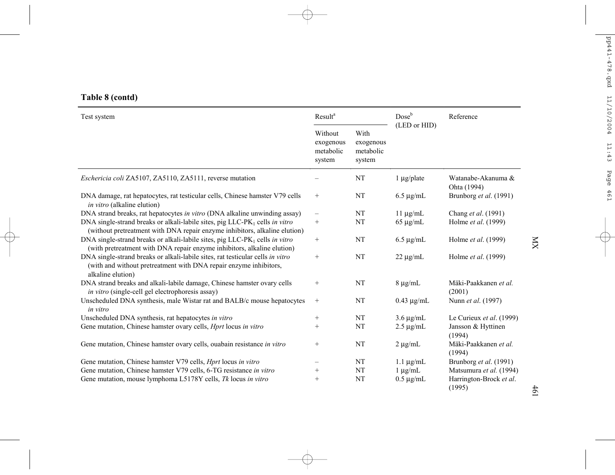# **Table 8 (contd)**

| Test system                                                                                                                                                              | Result <sup>a</sup>                         |                                          | $Dose^b$<br>(LED or HID) | Reference                         |  |
|--------------------------------------------------------------------------------------------------------------------------------------------------------------------------|---------------------------------------------|------------------------------------------|--------------------------|-----------------------------------|--|
|                                                                                                                                                                          | Without<br>exogenous<br>metabolic<br>system | With<br>exogenous<br>metabolic<br>system |                          |                                   |  |
| <i>Eschericia coli</i> ZA5107, ZA5110, ZA5111, reverse mutation                                                                                                          |                                             | NT                                       | $1 \mu g$ /plate         | Watanabe-Akanuma &<br>Ohta (1994) |  |
| DNA damage, rat hepatocytes, rat testicular cells, Chinese hamster V79 cells<br>in vitro (alkaline elution)                                                              | $^{+}$                                      | <b>NT</b>                                | $6.5 \mu$ g/mL           | Brunborg et al. (1991)            |  |
| DNA strand breaks, rat hepatocytes in vitro (DNA alkaline unwinding assay)                                                                                               | —                                           | <b>NT</b>                                | $11 \mu g/mL$            | Chang et al. (1991)               |  |
| DNA single-strand breaks or alkali-labile sites, pig $LLC$ -PK <sub>1</sub> cells in vitro<br>(without pretreatment with DNA repair enzyme inhibitors, alkaline elution) | $^{+}$                                      | <b>NT</b>                                | $65 \mu g/mL$            | Holme et al. (1999)               |  |
| DNA single-strand breaks or alkali-labile sites, pig LLC-PK <sub>1</sub> cells in vitro<br>(with pretreatment with DNA repair enzyme inhibitors, alkaline elution)       |                                             | NT                                       | $6.5 \mu g/mL$           | Holme et al. (1999)               |  |
| DNA single-strand breaks or alkali-labile sites, rat testicular cells in vitro<br>(with and without pretreatment with DNA repair enzyme inhibitors,<br>alkaline elution) | $^{+}$                                      | <b>NT</b>                                | $22 \mu g/mL$            | Holme et al. (1999)               |  |
| DNA strand breaks and alkali-labile damage, Chinese hamster ovary cells<br>in vitro (single-cell gel electrophoresis assay)                                              | $\! + \!\!\!\!$                             | <b>NT</b>                                | $8 \mu g/mL$             | Mäki-Paakkanen et al.<br>(2001)   |  |
| Unscheduled DNA synthesis, male Wistar rat and BALB/c mouse hepatocytes<br>in vitro                                                                                      | $+$                                         | NT                                       | $0.43 \mu g/mL$          | Nunn et al. (1997)                |  |
| Unscheduled DNA synthesis, rat hepatocytes in vitro                                                                                                                      | $^{+}$                                      | <b>NT</b>                                | $3.6 \mu g/mL$           | Le Curieux et al. (1999)          |  |
| Gene mutation, Chinese hamster ovary cells, <i>Hprt</i> locus in vitro                                                                                                   | $^{+}$                                      | NT                                       | $2.5 \mu$ g/mL           | Jansson & Hyttinen<br>(1994)      |  |
| Gene mutation, Chinese hamster ovary cells, ouabain resistance in vitro                                                                                                  | $^{+}$                                      | <b>NT</b>                                | $2 \mu g/mL$             | Mäki-Paakkanen et al.<br>(1994)   |  |
| Gene mutation, Chinese hamster V79 cells, <i>Hprt</i> locus in vitro                                                                                                     |                                             | NT                                       | $1.1 \mu$ g/mL           | Brunborg et al. (1991)            |  |
| Gene mutation, Chinese hamster V79 cells, 6-TG resistance in vitro                                                                                                       | $^{+}$                                      | NT                                       | $1 \mu g/mL$             | Matsumura et al. (1994)           |  |
| Gene mutation, mouse lymphoma L5178Y cells, Tk locus in vitro                                                                                                            | $^{+}$                                      | NT                                       | $0.5 \mu$ g/mL           | Harrington-Brock et al.<br>(1995) |  |

 $\mathbb K$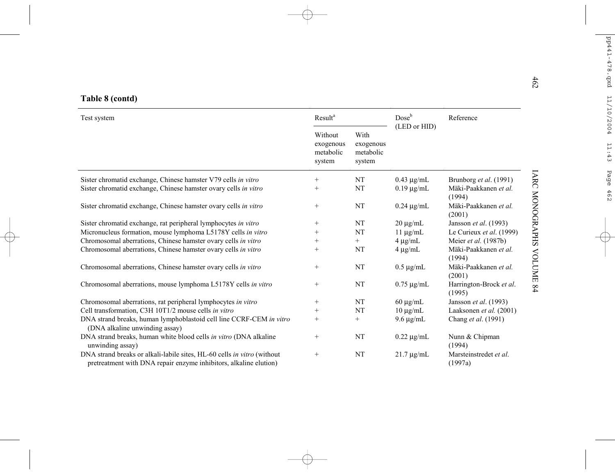| Table 8 (contd)                                                                                                                              |                                             |                                          |                 |                                   |  |
|----------------------------------------------------------------------------------------------------------------------------------------------|---------------------------------------------|------------------------------------------|-----------------|-----------------------------------|--|
| Test system                                                                                                                                  | Result <sup>a</sup>                         |                                          | $Dose^b$        | Reference                         |  |
|                                                                                                                                              | Without<br>exogenous<br>metabolic<br>system | With<br>exogenous<br>metabolic<br>system | (LED or HID)    |                                   |  |
| Sister chromatid exchange, Chinese hamster V79 cells in vitro                                                                                | $^{+}$                                      | NT                                       | $0.43 \mu g/mL$ | Brunborg et al. (1991)            |  |
| Sister chromatid exchange, Chinese hamster ovary cells in vitro                                                                              | $^{+}$                                      | NT                                       | $0.19 \mu g/mL$ | Mäki-Paakkanen et al.<br>(1994)   |  |
| Sister chromatid exchange, Chinese hamster ovary cells in vitro                                                                              | $+$                                         | NT                                       | $0.24 \mu g/mL$ | Mäki-Paakkanen et al.<br>(2001)   |  |
| Sister chromatid exchange, rat peripheral lymphocytes in vitro                                                                               | $^+$                                        | NT                                       | $20 \mu g/mL$   | Jansson et al. (1993)             |  |
| Micronucleus formation, mouse lymphoma L5178Y cells in vitro                                                                                 | $^{+}$                                      | NT                                       | $11 \mu g/mL$   | Le Curieux et al. (1999)          |  |
| Chromosomal aberrations, Chinese hamster ovary cells in vitro                                                                                | $^{+}$                                      | $+$                                      | $4 \mu g/mL$    | Meier et al. (1987b)              |  |
| Chromosomal aberrations, Chinese hamster ovary cells in vitro                                                                                | $^{+}$                                      | NT                                       | $4 \mu g/mL$    | Mäki-Paakkanen et al.<br>(1994)   |  |
| Chromosomal aberrations, Chinese hamster ovary cells in vitro                                                                                | $+$                                         | NT                                       | $0.5 \mu g/mL$  | Mäki-Paakkanen et al.<br>(2001)   |  |
| Chromosomal aberrations, mouse lymphoma L5178Y cells in vitro                                                                                | $+$                                         | NT                                       | $0.75 \mu g/mL$ | Harrington-Brock et al.<br>(1995) |  |
| Chromosomal aberrations, rat peripheral lymphocytes in vitro                                                                                 | $^{+}$                                      | NT                                       | $60 \mu g/mL$   | Jansson et al. (1993)             |  |
| Cell transformation, C3H 10T1/2 mouse cells in vitro                                                                                         | $^+$                                        | NT                                       | $10 \mu g/mL$   | Laaksonen et al. (2001)           |  |
| DNA strand breaks, human lymphoblastoid cell line CCRF-CEM in vitro<br>(DNA alkaline unwinding assay)                                        | $+$                                         | $+$                                      | $9.6 \mu g/mL$  | Chang et al. (1991)               |  |
| DNA strand breaks, human white blood cells in vitro (DNA alkaline<br>unwinding assay)                                                        | $^{+}$                                      | <b>NT</b>                                | $0.22 \mu g/mL$ | Nunn & Chipman<br>(1994)          |  |
| DNA strand breaks or alkali-labile sites, HL-60 cells in vitro (without<br>pretreatment with DNA repair enzyme inhibitors, alkaline elution) | $+$                                         | NT                                       | $21.7 \mu g/mL$ | Marsteinstredet et al.<br>(1997a) |  |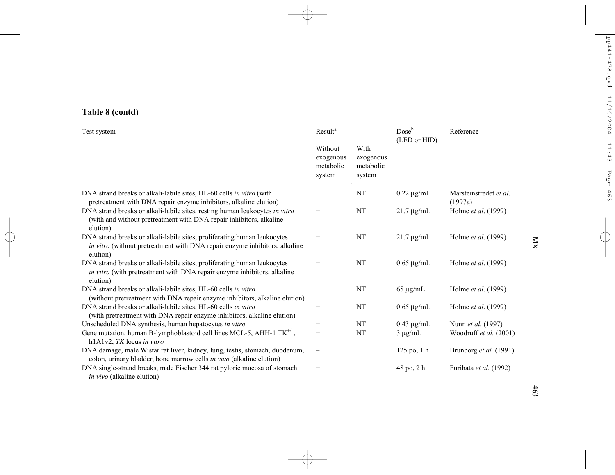# **Table 8 (contd)**

| Test system                                                                                                                                                        | <b>Result</b> <sup>a</sup>                  |                                          | $Dose^b$<br>(LED or HID) | Reference                         |  |
|--------------------------------------------------------------------------------------------------------------------------------------------------------------------|---------------------------------------------|------------------------------------------|--------------------------|-----------------------------------|--|
|                                                                                                                                                                    | Without<br>exogenous<br>metabolic<br>system | With<br>exogenous<br>metabolic<br>system |                          |                                   |  |
| DNA strand breaks or alkali-labile sites, HL-60 cells in vitro (with<br>pretreatment with DNA repair enzyme inhibitors, alkaline elution)                          | $^{+}$                                      | <b>NT</b>                                | $0.22 \mu$ g/mL          | Marsteinstredet et al.<br>(1997a) |  |
| DNA strand breaks or alkali-labile sites, resting human leukocytes in vitro<br>(with and without pretreatment with DNA repair inhibitors, alkaline<br>elution)     | $^{+}$                                      | $\rm{NT}$                                | $21.7 \mu$ g/mL          | Holme et al. (1999)               |  |
| DNA strand breaks or alkali-labile sites, proliferating human leukocytes<br>in vitro (without pretreatment with DNA repair enzyme inhibitors, alkaline<br>elution) | $^{+}$                                      | NT                                       | $21.7 \mu$ g/mL          | Holme et al. (1999)               |  |
| DNA strand breaks or alkali-labile sites, proliferating human leukocytes<br>in vitro (with pretreatment with DNA repair enzyme inhibitors, alkaline<br>elution)    | $^{+}$                                      | NT                                       | $0.65 \mu g/mL$          | Holme <i>et al.</i> (1999)        |  |
| DNA strand breaks or alkali-labile sites, HL-60 cells in vitro<br>(without pretreatment with DNA repair enzyme inhibitors, alkaline elution)                       | $^{+}$                                      | <b>NT</b>                                | $65 \mu g/mL$            | Holme et al. (1999)               |  |
| DNA strand breaks or alkali-labile sites, HL-60 cells in vitro<br>(with pretreatment with DNA repair enzyme inhibitors, alkaline elution)                          | $^{+}$                                      | <b>NT</b>                                | $0.65 \mu g/mL$          | Holme et al. (1999)               |  |
| Unscheduled DNA synthesis, human hepatocytes in vitro                                                                                                              | $^{+}$                                      | NT                                       | $0.43 \mu g/mL$          | Nunn et al. (1997)                |  |
| Gene mutation, human B-lymphoblastoid cell lines MCL-5, AHH-1 TK <sup>+/-</sup> ,<br>$h1A1v2$ , TK locus in vitro                                                  | $+$                                         | NT                                       | $3 \mu g/mL$             | Woodruff et al. (2001)            |  |
| DNA damage, male Wistar rat liver, kidney, lung, testis, stomach, duodenum,<br>colon, urinary bladder, bone marrow cells in vivo (alkaline elution)                |                                             |                                          | 125 po, 1 h              | Brunborg et al. (1991)            |  |
| DNA single-strand breaks, male Fischer 344 rat pyloric mucosa of stomach<br>in vivo (alkaline elution)                                                             | $^{+}$                                      |                                          | 48 po, 2 h               | Furihata et al. (1992)            |  |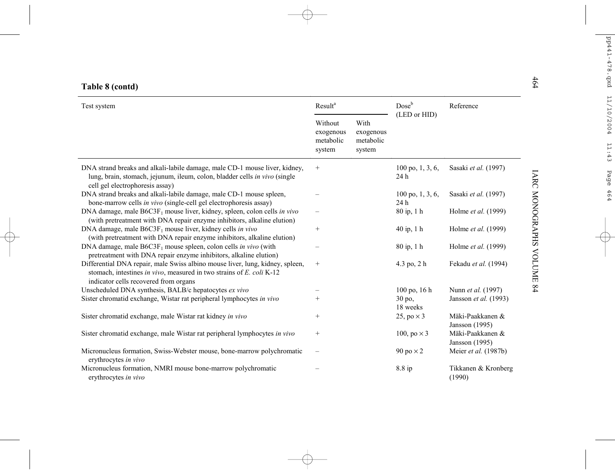| 464<br>Table 8 (contd)                                                                                                                                                                         |                                             |                                          |                                    |                                                |  |
|------------------------------------------------------------------------------------------------------------------------------------------------------------------------------------------------|---------------------------------------------|------------------------------------------|------------------------------------|------------------------------------------------|--|
| Test system                                                                                                                                                                                    | Result <sup>a</sup>                         |                                          | Dose <sup>b</sup>                  | Reference                                      |  |
|                                                                                                                                                                                                | Without<br>exogenous<br>metabolic<br>system | With<br>exogenous<br>metabolic<br>system | (LED or HID)                       |                                                |  |
| DNA strand breaks and alkali-labile damage, male CD-1 mouse liver, kidney,<br>lung, brain, stomach, jejunum, ileum, colon, bladder cells in vivo (single<br>cell gel electrophoresis assay)    | $^{+}$                                      |                                          | $100$ po, 1, 3, 6,<br>24 h         | Sasaki et al. (1997)                           |  |
| DNA strand breaks and alkali-labile damage, male CD-1 mouse spleen,<br>bone-marrow cells in vivo (single-cell gel electrophoresis assay)                                                       |                                             |                                          | $100 \text{ po}, 1, 3, 6,$<br>24 h | Sasaki et al. (1997)                           |  |
| DNA damage, male $B6C3F_1$ mouse liver, kidney, spleen, colon cells in vivo<br>(with pretreatment with DNA repair enzyme inhibitors, alkaline elution)                                         |                                             |                                          | 80 ip, 1 h                         | Holme et al. (1999)                            |  |
| DNA damage, male B6C3F <sub>1</sub> mouse liver, kidney cells in vivo<br>(with pretreatment with DNA repair enzyme inhibitors, alkaline elution)                                               | $^{+}$                                      |                                          | 40 ip, 1 h                         | Holme et al. (1999)                            |  |
| DNA damage, male $B6C3F_1$ mouse spleen, colon cells in vivo (with<br>pretreatment with DNA repair enzyme inhibitors, alkaline elution)                                                        |                                             |                                          | 80 ip, 1 h                         | Holme et al. (1999)                            |  |
| Differential DNA repair, male Swiss albino mouse liver, lung, kidney, spleen,<br>stomach, intestines in vivo, measured in two strains of E. coli K-12<br>indicator cells recovered from organs | $^{+}$                                      |                                          | 4.3 po, 2 h                        | IARC MONOGRAPHS VOLUME<br>Fekadu et al. (1994) |  |
| Unscheduled DNA synthesis, BALB/c hepatocytes ex vivo                                                                                                                                          |                                             |                                          | $100 \text{ po}, 16 \text{ h}$     | 64<br>Nunn <i>et al.</i> (1997)                |  |
| Sister chromatid exchange, Wistar rat peripheral lymphocytes in vivo                                                                                                                           | $^{+}$                                      |                                          | 30 po,<br>18 weeks                 | Jansson et al. (1993)                          |  |
| Sister chromatid exchange, male Wistar rat kidney in vivo                                                                                                                                      | $^{+}$                                      |                                          | 25, po $\times$ 3                  | Mäki-Paakkanen &<br>Jansson (1995)             |  |
| Sister chromatid exchange, male Wistar rat peripheral lymphocytes in vivo                                                                                                                      | $^{+}$                                      |                                          | 100, po $\times$ 3                 | Mäki-Paakkanen &<br>Jansson (1995)             |  |
| Micronucleus formation, Swiss-Webster mouse, bone-marrow polychromatic<br>erythrocytes in vivo                                                                                                 |                                             |                                          | 90 po $\times$ 2                   | Meier et al. (1987b)                           |  |
| Micronucleus formation, NMRI mouse bone-marrow polychromatic<br>erythrocytes in vivo                                                                                                           |                                             |                                          | 8.8 ip                             | Tikkanen & Kronberg<br>(1990)                  |  |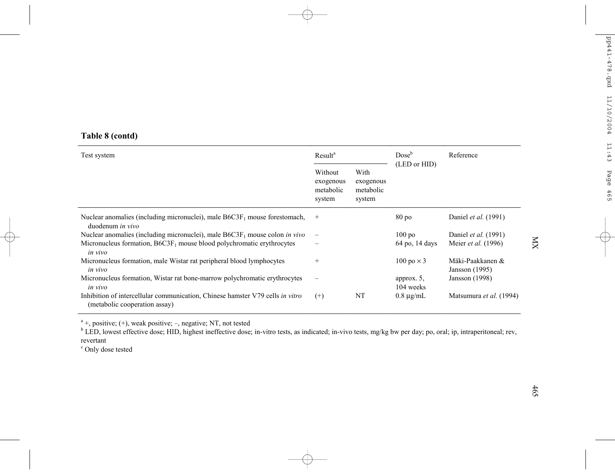# **Table 8 (contd)**

| Test system                                                                                                    | Result <sup>a</sup>                         |                                          | Dose <sup>b</sup><br>(LED or HID) | Reference                          |  |
|----------------------------------------------------------------------------------------------------------------|---------------------------------------------|------------------------------------------|-----------------------------------|------------------------------------|--|
|                                                                                                                | Without<br>exogenous<br>metabolic<br>system | With<br>exogenous<br>metabolic<br>system |                                   |                                    |  |
| Nuclear anomalies (including micronuclei), male $B6C3F_1$ mouse forestomach,<br>duodenum <i>in vivo</i>        | $^{+}$                                      |                                          | $80\,\mathrm{po}$                 | Daniel et al. (1991)               |  |
| Nuclear anomalies (including micronuclei), male $B6C3F_1$ mouse colon in vivo                                  | $\overline{\phantom{0}}$                    |                                          | 100 <sub>po</sub>                 | Daniel et al. (1991)               |  |
| Micronucleus formation, $B6C3F_1$ mouse blood polychromatic erythrocytes<br>in vivo                            | $\overline{\phantom{0}}$                    |                                          | 64 po, 14 days                    | Meier et al. (1996)                |  |
| Micronucleus formation, male Wistar rat peripheral blood lymphocytes<br>in vivo                                | $^{+}$                                      |                                          | 100 po $\times$ 3                 | Mäki-Paakkanen &<br>Jansson (1995) |  |
| Micronucleus formation, Wistar rat bone-marrow polychromatic erythrocytes<br>in vivo                           | $\overline{\phantom{0}}$                    |                                          | approx. $5$ ,<br>104 weeks        | Jansson (1998)                     |  |
| Inhibition of intercellular communication, Chinese hamster V79 cells in vitro<br>(metabolic cooperation assay) | $^{(+)}$                                    | NT                                       | $0.8 \mu g/mL$                    | Matsumura et al. (1994)            |  |

 $a<sup>a</sup>$  +, positive; (+), weak positive; –, negative; NT, not tested

 $\rm ^b$  LED, lowest effective dose; HID, highest ineffective dose; in-vitro tests, as indicated; in-vivo tests, mg/kg bw per day; po, oral; ip, intraperitoneal; rev, revertant

c Only dose tested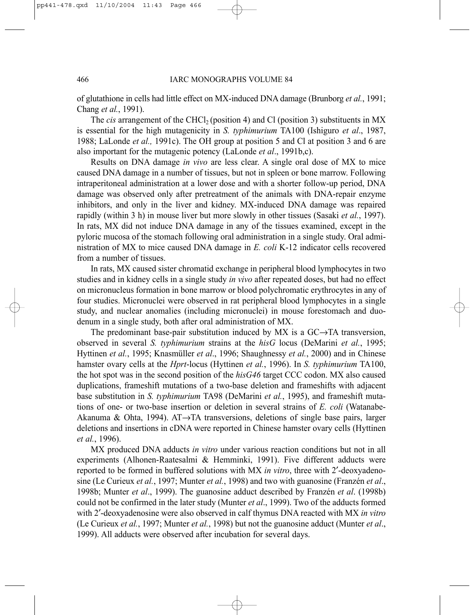of glutathione in cells had little effect on MX-induced DNA damage (Brunborg *et al.*, 1991; Chang *et al.*, 1991).

The *cis* arrangement of the CHCl<sub>2</sub> (position 4) and Cl (position 3) substituents in MX is essential for the high mutagenicity in *S. typhimurium* TA100 (Ishiguro *et al*., 1987, 1988; LaLonde *et al.,* 1991c). The OH group at position 5 and Cl at position 3 and 6 are also important for the mutagenic potency (LaLonde *et al*., 1991b,c).

Results on DNA damage *in vivo* are less clear. A single oral dose of MX to mice caused DNA damage in a number of tissues, but not in spleen or bone marrow. Following intraperitoneal administration at a lower dose and with a shorter follow-up period, DNA damage was observed only after pretreatment of the animals with DNA-repair enzyme inhibitors, and only in the liver and kidney. MX-induced DNA damage was repaired rapidly (within 3 h) in mouse liver but more slowly in other tissues (Sasaki *et al.*, 1997). In rats, MX did not induce DNA damage in any of the tissues examined, except in the pyloric mucosa of the stomach following oral administration in a single study. Oral administration of MX to mice caused DNA damage in *E. coli* K-12 indicator cells recovered from a number of tissues.

In rats, MX caused sister chromatid exchange in peripheral blood lymphocytes in two studies and in kidney cells in a single study *in vivo* after repeated doses, but had no effect on micronucleus formation in bone marrow or blood polychromatic erythrocytes in any of four studies. Micronuclei were observed in rat peripheral blood lymphocytes in a single study, and nuclear anomalies (including micronuclei) in mouse forestomach and duodenum in a single study, both after oral administration of MX.

The predominant base-pair substitution induced by MX is a  $GC \rightarrow TA$  transversion, observed in several *S. typhimurium* strains at the *hisG* locus (DeMarini *et al.*, 1995; Hyttinen *et al.*, 1995; Knasmüller *et al*., 1996; Shaughnessy *et al.*, 2000) and in Chinese hamster ovary cells at the *Hprt*-locus (Hyttinen *et al.*, 1996). In *S. typhimurium* TA100, the hot spot was in the second position of the *hisG46* target CCC codon. MX also caused duplications, frameshift mutations of a two-base deletion and frameshifts with adjacent base substitution in *S. typhimurium* TA98 (DeMarini *et al.*, 1995), and frameshift mutations of one- or two-base insertion or deletion in several strains of *E. coli* (Watanabe-Akanuma & Ohta, 1994). AT→TA transversions, deletions of single base pairs, larger deletions and insertions in cDNA were reported in Chinese hamster ovary cells (Hyttinen *et al.*, 1996).

MX produced DNA adducts *in vitro* under various reaction conditions but not in all experiments (Alhonen-Raatesalmi & Hemminki, 1991). Five different adducts were reported to be formed in buffered solutions with MX *in vitro*, three with 2′-deoxyadenosine (Le Curieux *et al.*, 1997; Munter *et al.*, 1998) and two with guanosine (Franzén *et al*., 1998b; Munter *et al*., 1999). The guanosine adduct described by Franzén *et al*. (1998b) could not be confirmed in the later study (Munter *et al*., 1999). Two of the adducts formed with 2′-deoxyadenosine were also observed in calf thymus DNA reacted with MX *in vitro* (Le Curieux *et al.*, 1997; Munter *et al.*, 1998) but not the guanosine adduct (Munter *et al*., 1999). All adducts were observed after incubation for several days.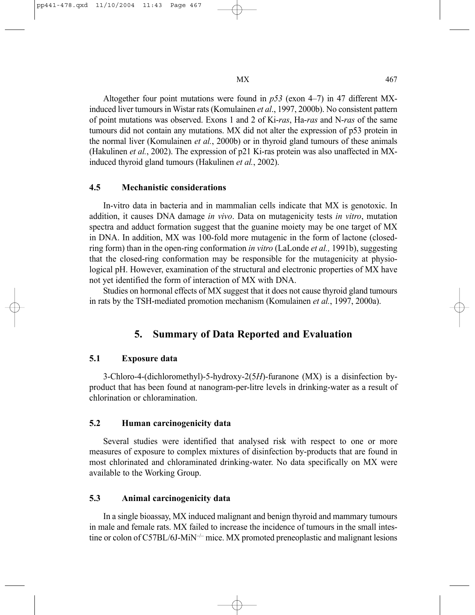Altogether four point mutations were found in *p53* (exon 4–7) in 47 different MXinduced liver tumours in Wistar rats (Komulainen *et al*., 1997, 2000b). No consistent pattern of point mutations was observed. Exons 1 and 2 of Ki-*ras*, Ha-*ras* and N-*ras* of the same tumours did not contain any mutations. MX did not alter the expression of p53 protein in the normal liver (Komulainen *et al.*, 2000b) or in thyroid gland tumours of these animals (Hakulinen *et al.*, 2002). The expression of p21 Ki-ras protein was also unaffected in MXinduced thyroid gland tumours (Hakulinen *et al.*, 2002).

### **4.5 Mechanistic considerations**

In-vitro data in bacteria and in mammalian cells indicate that MX is genotoxic. In addition, it causes DNA damage *in vivo*. Data on mutagenicity tests *in vitro*, mutation spectra and adduct formation suggest that the guanine moiety may be one target of MX in DNA. In addition, MX was 100-fold more mutagenic in the form of lactone (closedring form) than in the open-ring conformation *in vitro* (LaLonde *et al.,* 1991b), suggesting that the closed-ring conformation may be responsible for the mutagenicity at physiological pH. However, examination of the structural and electronic properties of MX have not yet identified the form of interaction of MX with DNA.

Studies on hormonal effects of MX suggest that it does not cause thyroid gland tumours in rats by the TSH-mediated promotion mechanism (Komulainen *et al.*, 1997, 2000a).

# **5. Summary of Data Reported and Evaluation**

## **5.1 Exposure data**

3-Chloro-4-(dichloromethyl)-5-hydroxy-2(5*H*)-furanone (MX) is a disinfection byproduct that has been found at nanogram-per-litre levels in drinking-water as a result of chlorination or chloramination.

## **5.2 Human carcinogenicity data**

Several studies were identified that analysed risk with respect to one or more measures of exposure to complex mixtures of disinfection by-products that are found in most chlorinated and chloraminated drinking-water. No data specifically on MX were available to the Working Group.

## **5.3 Animal carcinogenicity data**

In a single bioassay, MX induced malignant and benign thyroid and mammary tumours in male and female rats. MX failed to increase the incidence of tumours in the small intestine or colon of C57BL/6J-MiN<sup>-/-</sup> mice. MX promoted preneoplastic and malignant lesions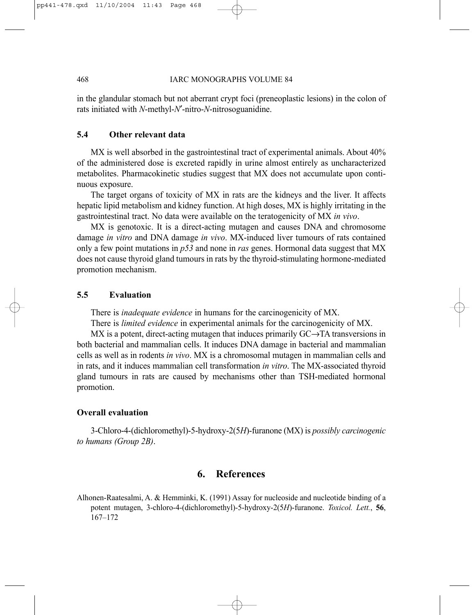in the glandular stomach but not aberrant crypt foci (preneoplastic lesions) in the colon of rats initiated with *N*-methyl-*N*′-nitro-*N*-nitrosoguanidine.

## **5.4 Other relevant data**

MX is well absorbed in the gastrointestinal tract of experimental animals. About 40% of the administered dose is excreted rapidly in urine almost entirely as uncharacterized metabolites. Pharmacokinetic studies suggest that MX does not accumulate upon continuous exposure.

The target organs of toxicity of MX in rats are the kidneys and the liver. It affects hepatic lipid metabolism and kidney function. At high doses, MX is highly irritating in the gastrointestinal tract. No data were available on the teratogenicity of MX *in vivo*.

MX is genotoxic. It is a direct-acting mutagen and causes DNA and chromosome damage *in vitro* and DNA damage *in vivo*. MX-induced liver tumours of rats contained only a few point mutations in *p53* and none in *ras* genes. Hormonal data suggest that MX does not cause thyroid gland tumours in rats by the thyroid-stimulating hormone-mediated promotion mechanism.

# **5.5 Evaluation**

There is *inadequate evidence* in humans for the carcinogenicity of MX.

There is *limited evidence* in experimental animals for the carcinogenicity of MX.

MX is a potent, direct-acting mutagen that induces primarily GC→TA transversions in both bacterial and mammalian cells. It induces DNA damage in bacterial and mammalian cells as well as in rodents *in vivo*. MX is a chromosomal mutagen in mammalian cells and in rats, and it induces mammalian cell transformation *in vitro*. The MX-associated thyroid gland tumours in rats are caused by mechanisms other than TSH-mediated hormonal promotion.

### **Overall evaluation**

3-Chloro-4-(dichloromethyl)-5-hydroxy-2(5*H*)-furanone (MX) is *possibly carcinogenic to humans (Group 2B)*.

# **6. References**

Alhonen-Raatesalmi, A. & Hemminki, K. (1991) Assay for nucleoside and nucleotide binding of a potent mutagen, 3-chloro-4-(dichloromethyl)-5-hydroxy-2(5*H*)-furanone. *Toxicol. Lett.*, **56**, 167–172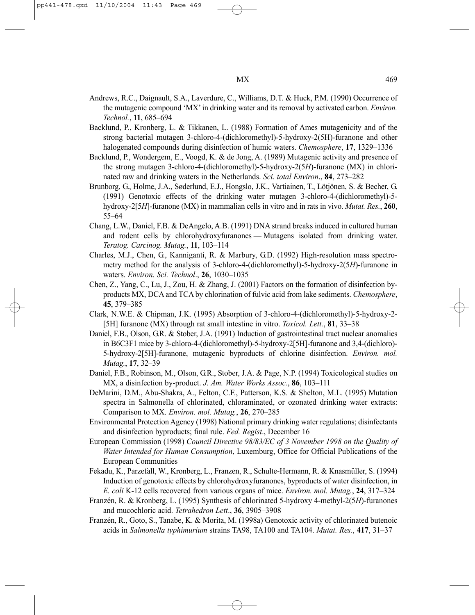- Andrews, R.C., Daignault, S.A., Laverdure, C., Williams, D.T. & Huck, P.M. (1990) Occurrence of the mutagenic compound 'MX' in drinking water and its removal by activated carbon. *Environ. Technol.*, **11**, 685–694
- Backlund, P., Kronberg, L. & Tikkanen, L. (1988) Formation of Ames mutagenicity and of the strong bacterial mutagen 3-chloro-4-(dichloromethyl)-5-hydroxy-2(5H)-furanone and other halogenated compounds during disinfection of humic waters. *Chemosphere*, **17**, 1329–1336
- Backlund, P., Wondergem, E., Voogd, K. & de Jong, A. (1989) Mutagenic activity and presence of the strong mutagen 3-chloro-4-(dichloromethyl)-5-hydroxy-2(5*H*)-furanone (MX) in chlorinated raw and drinking waters in the Netherlands. *Sci. total Environ*., **84**, 273–282
- Brunborg, G., Holme, J.A., Søderlund, E.J., Hongslo, J.K., Vartiainen, T., Lötjönen, S. & Becher, G. (1991) Genotoxic effects of the drinking water mutagen 3-chloro-4-(dichloromethyl)-5 hydroxy-2[5*H*]-furanone (MX) in mammalian cells in vitro and in rats in vivo. *Mutat. Res.*, **260**, 55–64
- Chang, L.W., Daniel, F.B. & DeAngelo, A.B. (1991) DNA strand breaks induced in cultured human and rodent cells by chlorohydroxyfuranones — Mutagens isolated from drinking water. *Teratog. Carcinog. Mutag.*, **11**, 103–114
- Charles, M.J., Chen, G., Kanniganti, R. & Marbury, G.D. (1992) High-resolution mass spectrometry method for the analysis of 3-chloro-4-(dichloromethyl)-5-hydroxy-2(5*H*)-furanone in waters. *Environ. Sci. Technol*., **26**, 1030–1035
- Chen, Z., Yang, C., Lu, J., Zou, H. & Zhang, J. (2001) Factors on the formation of disinfection byproducts MX, DCA and TCA by chlorination of fulvic acid from lake sediments. *Chemosphere*, **45**, 379–385
- Clark, N.W.E. & Chipman, J.K. (1995) Absorption of 3-chloro-4-(dichloromethyl)-5-hydroxy-2- [5H] furanone (MX) through rat small intestine in vitro. *Toxicol. Lett.*, **81**, 33–38
- Daniel, F.B., Olson, G.R. & Stober, J.A. (1991) Induction of gastrointestinal tract nuclear anomalies in B6C3F1 mice by 3-chloro-4-(dichloromethyl)-5-hydroxy-2[5H]-furanone and 3,4-(dichloro)- 5-hydroxy-2[5H]-furanone, mutagenic byproducts of chlorine disinfection. *Environ. mol. Mutag.*, **17**, 32–39
- Daniel, F.B., Robinson, M., Olson, G.R., Stober, J.A. & Page, N.P. (1994) Toxicological studies on MX, a disinfection by-product. *J. Am. Water Works Assoc.*, **86**, 103–111
- DeMarini, D.M., Abu-Shakra, A., Felton, C.F., Patterson, K.S. & Shelton, M.L. (1995) Mutation spectra in Salmonella of chlorinated, chloraminated, or ozonated drinking water extracts: Comparison to MX. *Environ. mol. Mutag.*, **26**, 270–285
- Environmental Protection Agency (1998) National primary drinking water regulations; disinfectants and disinfection byproducts; final rule. *Fed. Regist*., December 16
- European Commission (1998) *Council Directive 98/83/EC of 3 November 1998 on the Quality of Water Intended for Human Consumption*, Luxemburg, Office for Official Publications of the European Communities
- Fekadu, K., Parzefall, W., Kronberg, L., Franzen, R., Schulte-Hermann, R. & Knasmüller, S. (1994) Induction of genotoxic effects by chlorohydroxyfuranones, byproducts of water disinfection, in *E. coli* K-12 cells recovered from various organs of mice. *Environ. mol. Mutag.*, **24**, 317–324
- Franzén, R. & Kronberg, L. (1995) Synthesis of chlorinated 5-hydroxy 4-methyl-2(5*H*)-furanones and mucochloric acid. *Tetrahedron Lett*., **36**, 3905–3908
- Franzén, R., Goto, S., Tanabe, K. & Morita, M. (1998a) Genotoxic activity of chlorinated butenoic acids in *Salmonella typhimurium* strains TA98, TA100 and TA104. *Mutat. Res.*, **417**, 31–37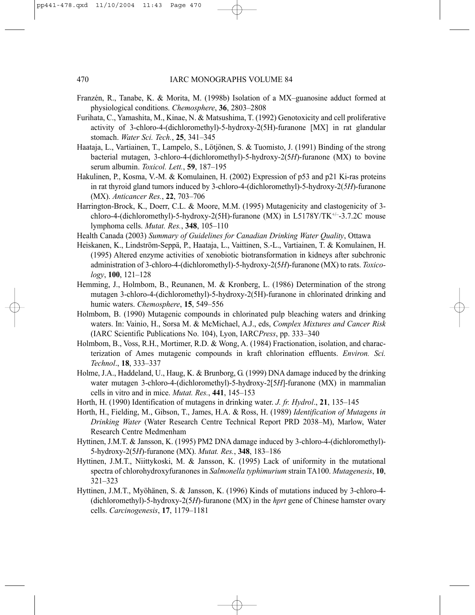- Franzén, R., Tanabe, K. & Morita, M. (1998b) Isolation of a MX–guanosine adduct formed at physiological conditions. *Chemosphere*, **36**, 2803–2808
- Furihata, C., Yamashita, M., Kinae, N. & Matsushima, T. (1992) Genotoxicity and cell proliferative activity of 3-chloro-4-(dichloromethyl)-5-hydroxy-2(5H)-furanone [MX] in rat glandular stomach. *Water Sci. Tech.*, **25**, 341–345
- Haataja, L., Vartiainen, T., Lampelo, S., Lötjönen, S. & Tuomisto, J. (1991) Binding of the strong bacterial mutagen, 3-chloro-4-(dichloromethyl)-5-hydroxy-2(5*H*)-furanone (MX) to bovine serum albumin. *Toxicol. Lett.*, **59**, 187–195
- Hakulinen, P., Kosma, V.-M. & Komulainen, H. (2002) Expression of p53 and p21 Ki-ras proteins in rat thyroid gland tumors induced by 3-chloro-4-(dichloromethyl)-5-hydroxy-2(*5H*)-furanone (MX). *Anticancer Res.*, **22**, 703–706
- Harrington-Brock, K., Doerr, C.L. & Moore, M.M. (1995) Mutagenicity and clastogenicity of 3 chloro-4-(dichloromethyl)-5-hydroxy-2(5H)-furanone (MX) in L5178Y/TK+/–-3.7.2C mouse lymphoma cells. *Mutat. Res.*, **348**, 105–110
- Health Canada (2003) *Summary of Guidelines for Canadian Drinking Water Quality*, Ottawa
- Heiskanen, K., Lindström-Seppä, P., Haataja, L., Vaittinen, S.-L., Vartiainen, T. & Komulainen, H. (1995) Altered enzyme activities of xenobiotic biotransformation in kidneys after subchronic administration of 3-chloro-4-(dichloromethyl)-5-hydroxy-2(5*H*)-furanone (MX) to rats. *Toxicology*, **100**, 121–128
- Hemming, J., Holmbom, B., Reunanen, M. & Kronberg, L. (1986) Determination of the strong mutagen 3-chloro-4-(dichloromethyl)-5-hydroxy-2(5H)-furanone in chlorinated drinking and humic waters. *Chemosphere*, **15**, 549–556
- Holmbom, B. (1990) Mutagenic compounds in chlorinated pulp bleaching waters and drinking waters. In: Vainio, H., Sorsa M. & McMichael, A.J., eds, *Complex Mixtures and Cancer Risk* (IARC Scientific Publications No. 104), Lyon, IARC*Press*, pp. 333–340
- Holmbom, B., Voss, R.H., Mortimer, R.D. & Wong, A. (1984) Fractionation, isolation, and characterization of Ames mutagenic compounds in kraft chlorination effluents. *Environ. Sci. Technol*., **18**, 333–337
- Holme, J.A., Haddeland, U., Haug, K. & Brunborg, G. (1999) DNA damage induced by the drinking water mutagen 3-chloro-4-(dichloromethyl)-5-hydroxy-2[5*H*]-furanone (MX) in mammalian cells in vitro and in mice. *Mutat. Res.*, **441**, 145–153
- Horth, H. (1990) Identification of mutagens in drinking water. *J. fr. Hydrol*., **21**, 135–145
- Horth, H., Fielding, M., Gibson, T., James, H.A. & Ross, H. (1989) *Identification of Mutagens in Drinking Water* (Water Research Centre Technical Report PRD 2038–M), Marlow, Water Research Centre Medmenham
- Hyttinen, J.M.T. & Jansson, K. (1995) PM2 DNA damage induced by 3-chloro-4-(dichloromethyl)- 5-hydroxy-2(5*H*)-furanone (MX). *Mutat. Res.*, **348**, 183–186
- Hyttinen, J.M.T., Niittykoski, M. & Jansson, K. (1995) Lack of uniformity in the mutational spectra of chlorohydroxyfuranones in *Salmonella typhimurium* strain TA100. *Mutagenesis*, **10**, 321–323
- Hyttinen, J.M.T., Myöhänen, S. & Jansson, K. (1996) Kinds of mutations induced by 3-chloro-4- (dichloromethyl)-5-hydroxy-2(5*H*)-furanone (MX) in the *hprt* gene of Chinese hamster ovary cells. *Carcinogenesis*, **17**, 1179–1181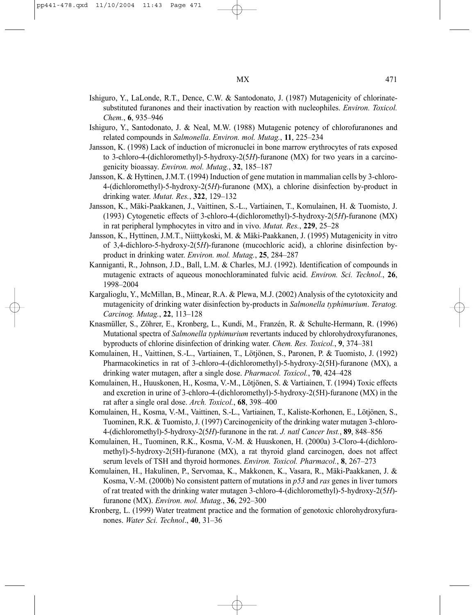- Ishiguro, Y., LaLonde, R.T., Dence, C.W. & Santodonato, J. (1987) Mutagenicity of chlorinatesubstituted furanones and their inactivation by reaction with nucleophiles. *Environ. Toxicol. Chem.*, **6**, 935–946
- Ishiguro, Y., Santodonato, J. & Neal, M.W. (1988) Mutagenic potency of chlorofuranones and related compounds in *Salmonella*. *Environ. mol. Mutag.*, **11**, 225–234
- Jansson, K. (1998) Lack of induction of micronuclei in bone marrow erythrocytes of rats exposed to 3-chloro-4-(dichloromethyl)-5-hydroxy-2(5*H*)-furanone (MX) for two years in a carcinogenicity bioassay. *Environ. mol. Mutag.*, **32**, 185–187
- Jansson, K. & Hyttinen, J.M.T. (1994) Induction of gene mutation in mammalian cells by 3-chloro-4-(dichloromethyl)-5-hydroxy-2(5*H*)-furanone (MX), a chlorine disinfection by-product in drinking water. *Mutat. Res.*, **322**, 129–132
- Jansson, K., Mäki-Paakkanen, J., Vaittinen, S.-L., Vartiainen, T., Komulainen, H. & Tuomisto, J. (1993) Cytogenetic effects of 3-chloro-4-(dichloromethyl)-5-hydroxy-2(5*H*)-furanone (MX) in rat peripheral lymphocytes in vitro and in vivo. *Mutat. Res.*, **229**, 25–28
- Jansson, K., Hyttinen, J.M.T., Niittykoski, M. & Mäki-Paakkanen, J. (1995) Mutagenicity in vitro of 3,4-dichloro-5-hydroxy-2(5*H*)-furanone (mucochloric acid), a chlorine disinfection byproduct in drinking water. *Environ. mol. Mutag.*, **25**, 284–287
- Kanniganti, R., Johnson, J.D., Ball, L.M. & Charles, M.J. (1992). Identification of compounds in mutagenic extracts of aqueous monochloraminated fulvic acid. *Environ. Sci. Technol.*, **26**, 1998–2004
- Kargalioglu, Y., McMillan, B., Minear, R.A. & Plewa, M.J. (2002) Analysis of the cytotoxicity and mutagenicity of drinking water disinfection by-products in *Salmonella typhimurium*. *Teratog. Carcinog. Mutag.*, **22**, 113–128
- Knasmüller, S., Zöhrer, E., Kronberg, L., Kundi, M., Franzén, R. & Schulte-Hermann, R. (1996) Mutational spectra of *Salmonella typhimurium* revertants induced by chlorohydroxyfuranones, byproducts of chlorine disinfection of drinking water. *Chem. Res. Toxicol.*, **9**, 374–381
- Komulainen, H., Vaittinen, S.-L., Vartiainen, T., Lötjönen, S., Paronen, P. & Tuomisto, J. (1992) Pharmacokinetics in rat of 3-chloro-4-(dichloromethyl)-5-hydroxy-2(5H)-furanone (MX), a drinking water mutagen, after a single dose. *Pharmacol. Toxicol.*, **70**, 424–428
- Komulainen, H., Huuskonen, H., Kosma, V.-M., Lötjönen, S. & Vartiainen, T. (1994) Toxic effects and excretion in urine of 3-chloro-4-(dichloromethyl)-5-hydroxy-2(5H)-furanone (MX) in the rat after a single oral dose. *Arch. Toxicol.*, **68**, 398–400
- Komulainen, H., Kosma, V.-M., Vaittinen, S.-L., Vartiainen, T., Kaliste-Korhonen, E., Lötjönen, S., Tuominen, R.K. & Tuomisto, J. (1997) Carcinogenicity of the drinking water mutagen 3-chloro-4-(dichloromethyl)-5-hydroxy-2(5*H*)-furanone in the rat. *J. natl Cancer Inst.*, **89**, 848–856
- Komulainen, H., Tuominen, R.K., Kosma, V.-M. & Huuskonen, H. (2000a) 3-Cloro-4-(dichloromethyl)-5-hydroxy-2(5H)-furanone (MX), a rat thyroid gland carcinogen, does not affect serum levels of TSH and thyroid hormones. *Environ. Toxicol. Pharmacol.*, **8**, 267–273
- Komulainen, H., Hakulinen, P., Servomaa, K., Makkonen, K., Vasara, R., Mäki-Paakkanen, J. & Kosma, V.-M. (2000b) No consistent pattern of mutations in *p53* and *ras* genes in liver tumors of rat treated with the drinking water mutagen 3-chloro-4-(dichloromethyl)-5-hydroxy-2(5*H*) furanone (MX). *Environ. mol. Mutag.*, **36**, 292–300
- Kronberg, L. (1999) Water treatment practice and the formation of genotoxic chlorohydroxyfuranones. *Water Sci. Technol*., **40**, 31–36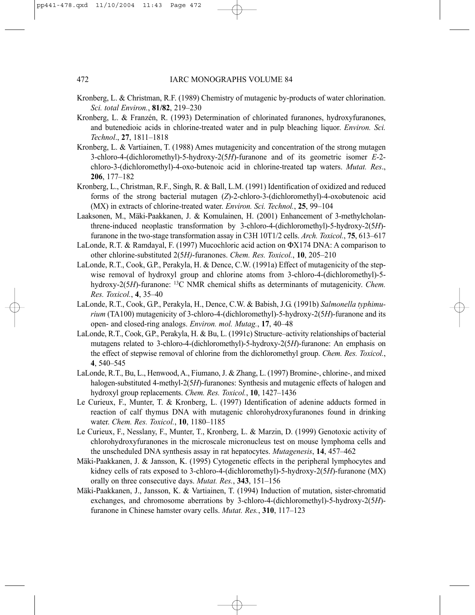- Kronberg, L. & Christman, R.F. (1989) Chemistry of mutagenic by-products of water chlorination. *Sci. total Environ.*, **81/82**, 219–230
- Kronberg, L. & Franzén, R. (1993) Determination of chlorinated furanones, hydroxyfuranones, and butenedioic acids in chlorine-treated water and in pulp bleaching liquor. *Environ. Sci. Technol*., **27**, 1811–1818
- Kronberg, L. & Vartiainen, T. (1988) Ames mutagenicity and concentration of the strong mutagen 3-chloro-4-(dichloromethyl)-5-hydroxy-2(5*H*)-furanone and of its geometric isomer *E*-2 chloro-3-(dichloromethyl)-4-oxo-butenoic acid in chlorine-treated tap waters. *Mutat. Res*., **206**, 177–182
- Kronberg, L., Christman, R.F., Singh, R. & Ball, L.M. (1991) Identification of oxidized and reduced forms of the strong bacterial mutagen (*Z*)-2-chloro-3-(dichloromethyl)-4-oxobutenoic acid (MX) in extracts of chlorine-treated water. *Environ. Sci. Technol.*, **25**, 99–104
- Laaksonen, M., Mäki-Paakkanen, J. & Komulainen, H. (2001) Enhancement of 3-methylcholanthrene-induced neoplastic transformation by 3-chloro-4-(dichloromethyl)-5-hydroxy-2(5*H*) furanone in the two-stage transformation assay in C3H 10T1/2 cells. *Arch. Toxicol.*, **75**, 613–617
- LaLonde, R.T. & Ramdayal, F. (1997) Mucochloric acid action on ΦX174 DNA: A comparison to other chlorine-substituted 2(5*H)*-furanones. *Chem. Res. Toxicol.*, **10**, 205–210
- LaLonde, R.T., Cook, G.P., Perakyla, H. & Dence, C.W. (1991a) Effect of mutagenicity of the stepwise removal of hydroxyl group and chlorine atoms from 3-chloro-4-(dichloromethyl)-5 hydroxy-2(5*H*)-furanone: 13C NMR chemical shifts as determinants of mutagenicity. *Chem. Res. Toxicol.*, **4**, 35–40
- LaLonde, R.T., Cook, G.P., Perakyla, H., Dence, C.W. & Babish, J.G. (1991b) Salmonella typhimu*rium* (TA100) mutagenicity of 3-chloro-4-(dichloromethyl)-5-hydroxy-2(5*H*)-furanone and its open- and closed-ring analogs. *Environ. mol. Mutag.*, **17**, 40–48
- LaLonde, R.T., Cook, G.P., Perakyla, H. & Bu, L. (1991c) Structure–activity relationships of bacterial mutagens related to 3-chloro-4-(dichloromethyl)-5-hydroxy-2(5*H*)-furanone: An emphasis on the effect of stepwise removal of chlorine from the dichloromethyl group. *Chem. Res. Toxicol.*, **4**, 540–545
- LaLonde, R.T., Bu, L., Henwood, A., Fiumano, J. & Zhang, L. (1997) Bromine-, chlorine-, and mixed halogen-substituted 4-methyl-2(5*H*)-furanones: Synthesis and mutagenic effects of halogen and hydroxyl group replacements. *Chem. Res. Toxicol.*, **10**, 1427–1436
- Le Curieux, F., Munter, T. & Kronberg, L. (1997) Identification of adenine adducts formed in reaction of calf thymus DNA with mutagenic chlorohydroxyfuranones found in drinking water. *Chem. Res. Toxicol.*, **10**, 1180–1185
- Le Curieux, F., Nesslany, F., Munter, T., Kronberg, L. & Marzin, D. (1999) Genotoxic activity of chlorohydroxyfuranones in the microscale micronucleus test on mouse lymphoma cells and the unscheduled DNA synthesis assay in rat hepatocytes. *Mutagenesis*, **14**, 457–462
- Mäki-Paakkanen, J. & Jansson, K. (1995) Cytogenetic effects in the peripheral lymphocytes and kidney cells of rats exposed to 3-chloro-4-(dichloromethyl)-5-hydroxy-2(5*H*)-furanone (MX) orally on three consecutive days. *Mutat. Res.*, **343**, 151–156
- Mäki-Paakkanen, J., Jansson, K. & Vartiainen, T. (1994) Induction of mutation, sister-chromatid exchanges, and chromosome aberrations by 3-chloro-4-(dichloromethyl)-5-hydroxy-2(5*H*) furanone in Chinese hamster ovary cells. *Mutat. Res.*, **310**, 117–123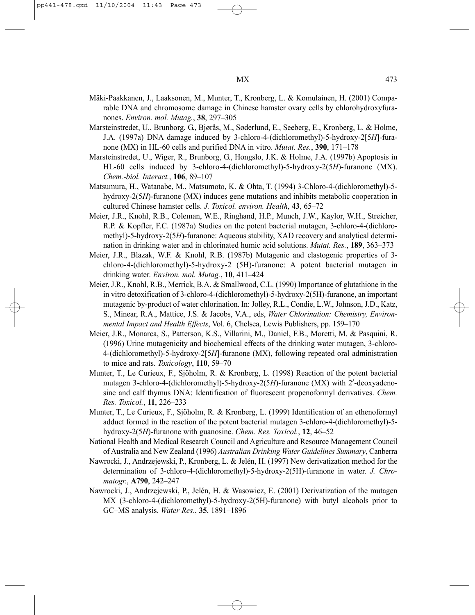- Mäki-Paakkanen, J., Laaksonen, M., Munter, T., Kronberg, L. & Komulainen, H. (2001) Comparable DNA and chromosome damage in Chinese hamster ovary cells by chlorohydroxyfuranones. *Environ. mol. Mutag.*, **38**, 297–305
- Marsteinstredet, U., Brunborg, G., Bjørås, M., Søderlund, E., Seeberg, E., Kronberg, L. & Holme, J.A. (1997a) DNA damage induced by 3-chloro-4-(dichloromethyl)-5-hydroxy-2[5*H*]-furanone (MX) in HL-60 cells and purified DNA in vitro. *Mutat. Res.*, **390**, 171–178
- Marsteinstredet, U., Wiger, R., Brunborg, G., Hongslo, J.K. & Holme, J.A. (1997b) Apoptosis in HL-60 cells induced by 3-chloro-4-(dichloromethyl)-5-hydroxy-2(5*H*)-furanone (MX). *Chem.-biol. Interact.*, **106**, 89–107
- Matsumura, H., Watanabe, M., Matsumoto, K. & Ohta, T. (1994) 3-Chloro-4-(dichloromethyl)-5 hydroxy-2(5*H*)-furanone (MX) induces gene mutations and inhibits metabolic cooperation in cultured Chinese hamster cells. *J. Toxicol. environ. Health*, **43**, 65–72
- Meier, J.R., Knohl, R.B., Coleman, W.E., Ringhand, H.P., Munch, J.W., Kaylor, W.H., Streicher, R.P. & Kopfler, F.C. (1987a) Studies on the potent bacterial mutagen, 3-chloro-4-(dichloromethyl)-5-hydroxy-2(5*H*)-furanone: Aqueous stability, XAD recovery and analytical determination in drinking water and in chlorinated humic acid solutions. *Mutat. Res.*, **189**, 363–373
- Meier, J.R., Blazak, W.F. & Knohl, R.B. (1987b) Mutagenic and clastogenic properties of 3 chloro-4-(dichloromethyl)-5-hydroxy-2 (5H)-furanone: A potent bacterial mutagen in drinking water. *Environ. mol. Mutag.*, **10**, 411–424
- Meier, J.R., Knohl, R.B., Merrick, B.A. & Smallwood, C.L. (1990) Importance of glutathione in the in vitro detoxification of 3-chloro-4-(dichloromethyl)-5-hydroxy-2(5H)-furanone, an important mutagenic by-product of water chlorination. In: Jolley, R.L., Condie, L.W., Johnson, J.D., Katz, S., Minear, R.A., Mattice, J.S. & Jacobs, V.A., eds, *Water Chlorination: Chemistry, Environmental Impact and Health Effects*, Vol. 6, Chelsea, Lewis Publishers, pp. 159–170
- Meier, J.R., Monarca, S., Patterson, K.S., Villarini, M., Daniel, F.B., Moretti, M. & Pasquini, R. (1996) Urine mutagenicity and biochemical effects of the drinking water mutagen, 3-chloro-4-(dichloromethyl)-5-hydroxy-2[5*H*]-furanone (MX), following repeated oral administration to mice and rats. *Toxicology*, **110**, 59–70
- Munter, T., Le Curieux, F., Sjöholm, R. & Kronberg, L. (1998) Reaction of the potent bacterial mutagen 3-chloro-4-(dichloromethyl)-5-hydroxy-2(5*H*)-furanone (MX) with 2′-deoxyadenosine and calf thymus DNA: Identification of fluorescent propenoformyl derivatives. *Chem. Res. Toxicol.*, **11**, 226–233
- Munter, T., Le Curieux, F., Sjöholm, R. & Kronberg, L. (1999) Identification of an ethenoformyl adduct formed in the reaction of the potent bacterial mutagen 3-chloro-4-(dichloromethyl)-5 hydroxy-2(5*H*)-furanone with guanosine. *Chem. Res. Toxicol.*, **12**, 46–52
- National Health and Medical Research Council and Agriculture and Resource Management Council of Australia and New Zealand (1996) *Australian Drinking Water Guidelines Summary*, Canberra
- Nawrocki, J., Andrzejewski, P., Kronberg, L. & Jelén, H. (1997) New derivatization method for the determination of 3-chloro-4-(dichloromethyl)-5-hydroxy-2(5H)-furanone in water. *J. Chromatogr.*, **A790**, 242–247
- Nawrocki, J., Andrzejewski, P., Jelén, H. & Wasowicz, E. (2001) Derivatization of the mutagen MX (3-chloro-4-(dichloromethyl)-5-hydroxy-2(5H)-furanone) with butyl alcohols prior to GC–MS analysis. *Water Res*., **35**, 1891–1896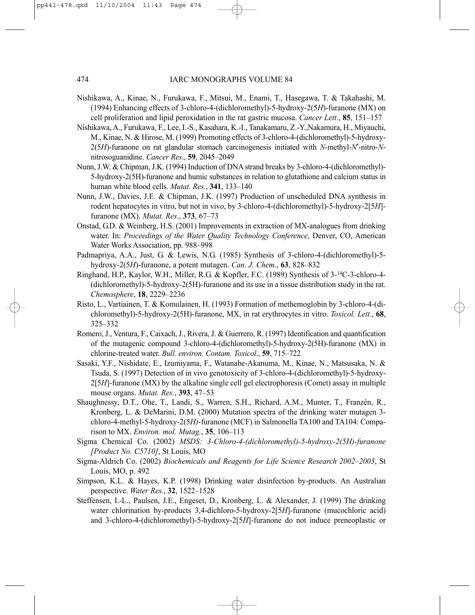- Nishikawa, A., Kinae, N., Furukawa, F., Mitsui, M., Enami, T., Hasegawa, T. & Takahashi, M. (1994) Enhancing effects of 3-chloro-4-(dichloromethyl)-5-hydroxy-2(5*H*)-furanone (MX) on cell proliferation and lipid peroxidation in the rat gastric mucosa. *Cancer Lett.*, **85**, 151–157
- Nishikawa, A., Furukawa, F., Lee, I.-S., Kasahara, K.-I., Tanakamaru, Z.-Y.,Nakamura, H., Miyauchi, M., Kinae, N. & Hirose, M. (1999) Promoting effects of 3-chloro-4-(dichloromethyl)-5-hydroxy-2(5*H*)-furanone on rat glandular stomach carcinogenesis initiated with *N*-methyl-*N*′-nitro-*N*nitrosoguanidine. *Cancer Res*., **59**, 2045–2049
- Nunn, J.W. & Chipman, J.K. (1994) Induction of DNA strand breaks by 3-chloro-4-(dichloromethyl)- 5-hydroxy-2(5H)-furanone and humic substances in relation to glutathione and calcium status in human white blood cells. *Mutat. Res.*, **341**, 133–140
- Nunn, J.W., Davies, J.E. & Chipman, J.K. (1997) Production of unscheduled DNA synthesis in rodent hepatocytes in vitro, but not in vivo, by 3-chloro-4-(dichloromethyl)-5-hydroxy-2[5*H*] furanone (MX). *Mutat. Res.*, **373**, 67–73
- Onstad, G.D. & Weinberg, H.S. (2001) Improvements in extraction of MX-analogues from drinking water. In: *Proceedings of the Water Quality Technology Conference*, Denver, CO, American Water Works Association, pp. 988–998
- Padmapriya, A.A., Just, G. & Lewis, N.G. (1985) Synthesis of 3-chloro-4-(dichloromethyl)-5 hydroxy-2(5*H*)-furanone, a potent mutagen. *Can. J. Chem*., **63**, 828–832
- Ringhand, H.P., Kaylor, W.H., Miller, R.G. & Kopfler, F.C. (1989) Synthesis of 3-14C-3-chloro-4- (dichloromethyl)-5-hydroxy-2(5H)-furanone and its use in a tissue distribution study in the rat. *Chemosphere*, **18**, 2229–2236
- Risto, L., Vartiainen, T. & Komulainen, H. (1993) Formation of methemoglobin by 3-chloro-4-(dichloromethyl)-5-hydroxy-2(5H)-furanone, MX, in rat erythrocytes in vitro. *Toxicol. Lett.*, **68**, 325–332
- Romero, J., Ventura, F., Caixach, J., Rivera, J. & Guerrero, R. (1997) Identification and quantification of the mutagenic compound 3-chloro-4-(dichloromethyl)-5-hydroxy-2(5H)-furanone (MX) in chlorine-treated water. *Bull. environ. Contam. Toxicol*., **59**, 715–722
- Sasaki, Y.F., Nishidate, E., Izumiyama, F., Watanabe-Akanuma, M., Kinae, N., Matsusaka, N. & Tsuda, S. (1997) Detection of in vivo genotoxicity of 3-chloro-4-(dichloromethyl)-5-hydroxy-2[5*H*]-furanone (MX) by the alkaline single cell gel electrophoresis (Comet) assay in multiple mouse organs. *Mutat. Res.*, **393**, 47–53
- Shaughnessy, D.T., Ohe, T., Landi, S., Warren, S.H., Richard, A.M., Munter, T., Franzén, R., Kronberg, L. & DeMarini, D.M. (2000) Mutation spectra of the drinking water mutagen 3 chloro-4-methyl-5-hydroxy-2(5*H)*-furanone (MCF) in Salmonella TA100 and TA104: Comparison to MX. *Environ. mol. Mutag.*, **35**, 106–113
- Sigma Chemical Co. (2002) *MSDS: 3-Chloro-4-(dichloromethyl)-5-hydroxy-2(5H)-furanone [Product No. C5710]*, St Louis, MO
- Sigma-Aldrich Co. (2002) *Biochemicals and Reagents for Life Science Research 2002–2003*, St Louis, MO, p. 492
- Simpson, K.L. & Hayes, K.P. (1998) Drinking water disinfection by-products. An Australian perspective. *Water Res.*, **32**, 1522–1528
- Steffensen, I.-L., Paulsen, J.E., Engeset, D., Kronberg, L. & Alexander, J. (1999) The drinking water chlorination by-products 3,4-dichloro-5-hydroxy-2[5*H*]-furanone (mucochloric acid) and 3-chloro-4-(dichloromethyl)-5-hydroxy-2[5*H*]-furanone do not induce preneoplastic or